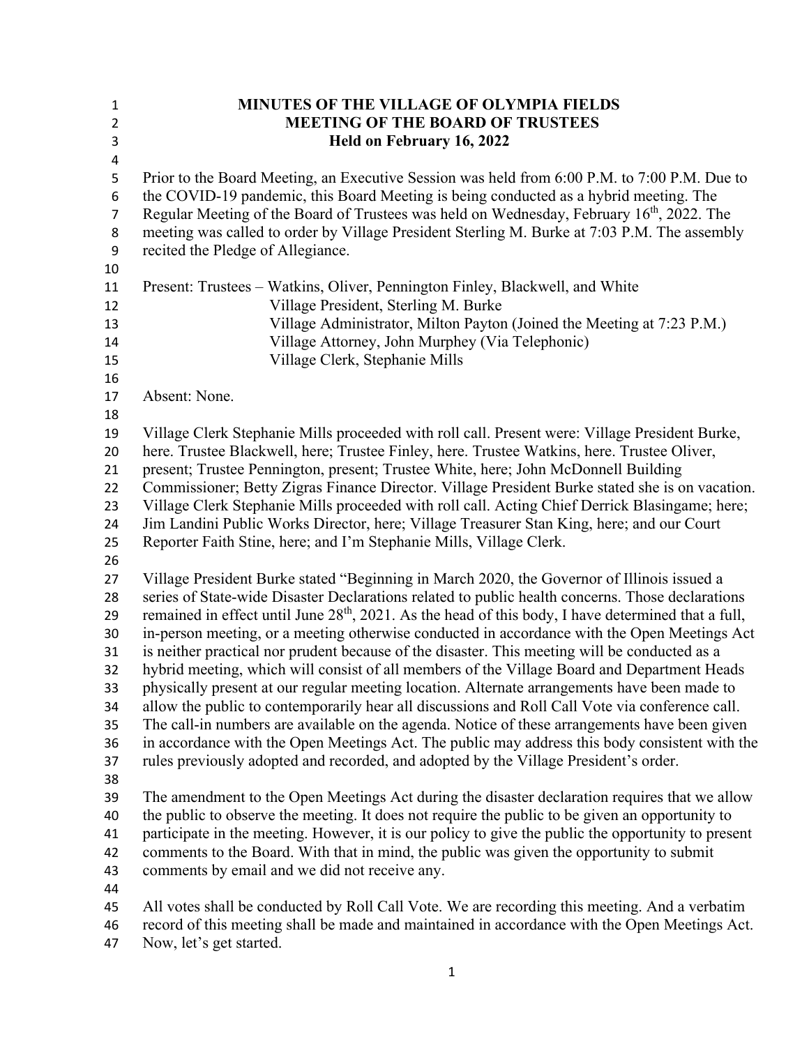| $\mathbf{1}$   | MINUTES OF THE VILLAGE OF OLYMPIA FIELDS                                                                                                                                                                  |
|----------------|-----------------------------------------------------------------------------------------------------------------------------------------------------------------------------------------------------------|
| $\overline{2}$ | <b>MEETING OF THE BOARD OF TRUSTEES</b>                                                                                                                                                                   |
| $\mathsf 3$    | Held on February 16, 2022                                                                                                                                                                                 |
| 4              |                                                                                                                                                                                                           |
| 5              | Prior to the Board Meeting, an Executive Session was held from 6:00 P.M. to 7:00 P.M. Due to                                                                                                              |
| 6              | the COVID-19 pandemic, this Board Meeting is being conducted as a hybrid meeting. The                                                                                                                     |
| 7              | Regular Meeting of the Board of Trustees was held on Wednesday, February 16 <sup>th</sup> , 2022. The                                                                                                     |
| 8              | meeting was called to order by Village President Sterling M. Burke at 7:03 P.M. The assembly                                                                                                              |
| 9              | recited the Pledge of Allegiance.                                                                                                                                                                         |
| 10             |                                                                                                                                                                                                           |
| 11             | Present: Trustees – Watkins, Oliver, Pennington Finley, Blackwell, and White                                                                                                                              |
| 12             | Village President, Sterling M. Burke                                                                                                                                                                      |
| 13             | Village Administrator, Milton Payton (Joined the Meeting at 7:23 P.M.)                                                                                                                                    |
| 14             | Village Attorney, John Murphey (Via Telephonic)                                                                                                                                                           |
| 15             | Village Clerk, Stephanie Mills                                                                                                                                                                            |
| 16             |                                                                                                                                                                                                           |
| 17             | Absent: None.                                                                                                                                                                                             |
| 18             |                                                                                                                                                                                                           |
| 19             | Village Clerk Stephanie Mills proceeded with roll call. Present were: Village President Burke,                                                                                                            |
| 20             | here. Trustee Blackwell, here; Trustee Finley, here. Trustee Watkins, here. Trustee Oliver,                                                                                                               |
| 21             | present; Trustee Pennington, present; Trustee White, here; John McDonnell Building                                                                                                                        |
| 22             | Commissioner; Betty Zigras Finance Director. Village President Burke stated she is on vacation.                                                                                                           |
| 23             | Village Clerk Stephanie Mills proceeded with roll call. Acting Chief Derrick Blasingame; here;                                                                                                            |
| 24             | Jim Landini Public Works Director, here; Village Treasurer Stan King, here; and our Court                                                                                                                 |
| 25             | Reporter Faith Stine, here; and I'm Stephanie Mills, Village Clerk.                                                                                                                                       |
| 26             |                                                                                                                                                                                                           |
| 27             | Village President Burke stated "Beginning in March 2020, the Governor of Illinois issued a                                                                                                                |
| 28<br>29       | series of State-wide Disaster Declarations related to public health concerns. Those declarations<br>remained in effect until June $28th$ , 2021. As the head of this body, I have determined that a full, |
| 30             | in-person meeting, or a meeting otherwise conducted in accordance with the Open Meetings Act                                                                                                              |
| 31             | is neither practical nor prudent because of the disaster. This meeting will be conducted as a                                                                                                             |
| 32             | hybrid meeting, which will consist of all members of the Village Board and Department Heads                                                                                                               |
| 33             | physically present at our regular meeting location. Alternate arrangements have been made to                                                                                                              |
| 34             | allow the public to contemporarily hear all discussions and Roll Call Vote via conference call.                                                                                                           |
| 35             | The call-in numbers are available on the agenda. Notice of these arrangements have been given                                                                                                             |
| 36             | in accordance with the Open Meetings Act. The public may address this body consistent with the                                                                                                            |
| 37             | rules previously adopted and recorded, and adopted by the Village President's order.                                                                                                                      |
| 38             |                                                                                                                                                                                                           |
| 39             | The amendment to the Open Meetings Act during the disaster declaration requires that we allow                                                                                                             |
| 40             | the public to observe the meeting. It does not require the public to be given an opportunity to                                                                                                           |
| 41             | participate in the meeting. However, it is our policy to give the public the opportunity to present                                                                                                       |
| 42             | comments to the Board. With that in mind, the public was given the opportunity to submit                                                                                                                  |
| 43             | comments by email and we did not receive any.                                                                                                                                                             |
| 44             |                                                                                                                                                                                                           |
| 45             | All votes shall be conducted by Roll Call Vote. We are recording this meeting. And a verbatim                                                                                                             |
| 46             | record of this meeting shall be made and maintained in accordance with the Open Meetings Act.                                                                                                             |
| 47             | Now, let's get started.                                                                                                                                                                                   |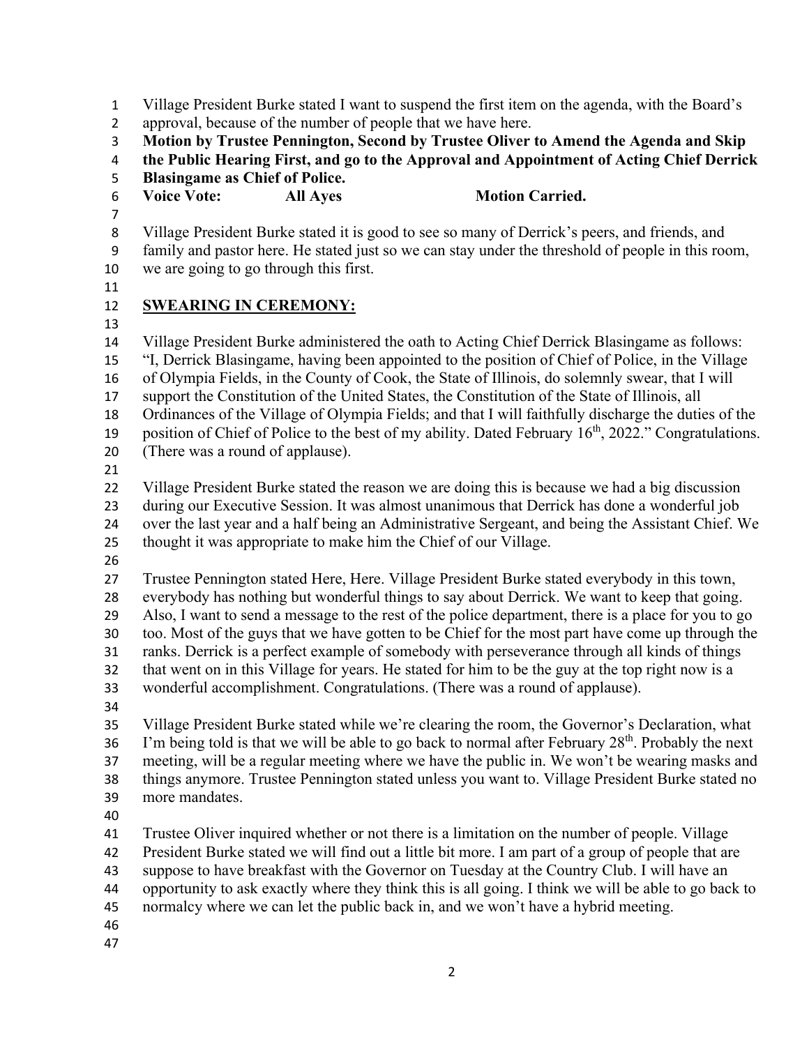Village President Burke stated I want to suspend the first item on the agenda, with the Board's

approval, because of the number of people that we have here.

**Motion by Trustee Pennington, Second by Trustee Oliver to Amend the Agenda and Skip** 

**the Public Hearing First, and go to the Approval and Appointment of Acting Chief Derrick** 

- **Blasingame as Chief of Police.**
- 6 Voice Vote: All Ayes Motion Carried.
- 

Village President Burke stated it is good to see so many of Derrick's peers, and friends, and

 family and pastor here. He stated just so we can stay under the threshold of people in this room, we are going to go through this first.

# **SWEARING IN CEREMONY:**

Village President Burke administered the oath to Acting Chief Derrick Blasingame as follows:

"I, Derrick Blasingame, having been appointed to the position of Chief of Police, in the Village

of Olympia Fields, in the County of Cook, the State of Illinois, do solemnly swear, that I will

support the Constitution of the United States, the Constitution of the State of Illinois, all

Ordinances of the Village of Olympia Fields; and that I will faithfully discharge the duties of the

19 position of Chief of Police to the best of my ability. Dated February  $16<sup>th</sup>$ , 2022." Congratulations.

- (There was a round of applause).
- 

Village President Burke stated the reason we are doing this is because we had a big discussion

during our Executive Session. It was almost unanimous that Derrick has done a wonderful job

over the last year and a half being an Administrative Sergeant, and being the Assistant Chief. We

thought it was appropriate to make him the Chief of our Village.

Trustee Pennington stated Here, Here. Village President Burke stated everybody in this town,

everybody has nothing but wonderful things to say about Derrick. We want to keep that going.

Also, I want to send a message to the rest of the police department, there is a place for you to go

too. Most of the guys that we have gotten to be Chief for the most part have come up through the

ranks. Derrick is a perfect example of somebody with perseverance through all kinds of things

that went on in this Village for years. He stated for him to be the guy at the top right now is a

wonderful accomplishment. Congratulations. (There was a round of applause).

 Village President Burke stated while we're clearing the room, the Governor's Declaration, what 36 I'm being told is that we will be able to go back to normal after February  $28<sup>th</sup>$ . Probably the next meeting, will be a regular meeting where we have the public in. We won't be wearing masks and things anymore. Trustee Pennington stated unless you want to. Village President Burke stated no more mandates.

Trustee Oliver inquired whether or not there is a limitation on the number of people. Village

President Burke stated we will find out a little bit more. I am part of a group of people that are

suppose to have breakfast with the Governor on Tuesday at the Country Club. I will have an

opportunity to ask exactly where they think this is all going. I think we will be able to go back to

normalcy where we can let the public back in, and we won't have a hybrid meeting.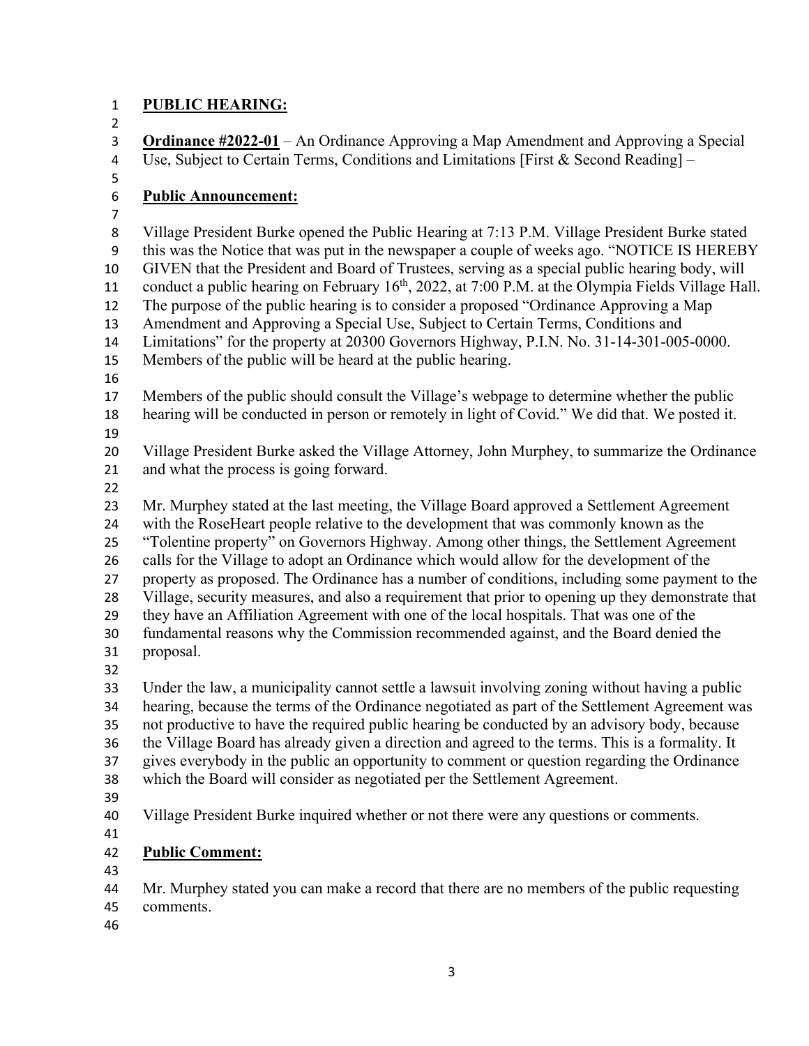# **PUBLIC HEARING:**

| <b>Public Announcement:</b>                                                                                                                                                                                                                                                                    |
|------------------------------------------------------------------------------------------------------------------------------------------------------------------------------------------------------------------------------------------------------------------------------------------------|
| Village President Burke opened the Public Hearing at 7:13 P.M. Village President Burke stated<br>this was the Notice that was put in the newspaper a couple of weeks ago. "NOTICE IS HEREBY                                                                                                    |
| GIVEN that the President and Board of Trustees, serving as a special public hearing body, will<br>conduct a public hearing on February 16 <sup>th</sup> , 2022, at 7:00 P.M. at the Olympia Fields Village Hall.                                                                               |
| The purpose of the public hearing is to consider a proposed "Ordinance Approving a Map<br>Amendment and Approving a Special Use, Subject to Certain Terms, Conditions and                                                                                                                      |
| Limitations" for the property at 20300 Governors Highway, P.I.N. No. 31-14-301-005-0000.<br>Members of the public will be heard at the public hearing.                                                                                                                                         |
| Members of the public should consult the Village's webpage to determine whether the public                                                                                                                                                                                                     |
| hearing will be conducted in person or remotely in light of Covid." We did that. We posted it.                                                                                                                                                                                                 |
| Village President Burke asked the Village Attorney, John Murphey, to summarize the Ordinance<br>and what the process is going forward.                                                                                                                                                         |
|                                                                                                                                                                                                                                                                                                |
| Mr. Murphey stated at the last meeting, the Village Board approved a Settlement Agreement<br>with the RoseHeart people relative to the development that was commonly known as the<br>"Tolentine property" on Governors Highway. Among other things, the Settlement Agreement                   |
| calls for the Village to adopt an Ordinance which would allow for the development of the<br>property as proposed. The Ordinance has a number of conditions, including some payment to the<br>Village, security measures, and also a requirement that prior to opening up they demonstrate that |
| they have an Affiliation Agreement with one of the local hospitals. That was one of the<br>fundamental reasons why the Commission recommended against, and the Board denied the                                                                                                                |
| proposal.                                                                                                                                                                                                                                                                                      |
| Under the law, a municipality cannot settle a lawsuit involving zoning without having a public<br>hearing, because the terms of the Ordinance negotiated as part of the Settlement Agreement was                                                                                               |
| not productive to have the required public hearing be conducted by an advisory body, because<br>the Village Board has already given a direction and agreed to the terms. This is a formality. It                                                                                               |
| gives everybody in the public an opportunity to comment or question regarding the Ordinance<br>which the Board will consider as negotiated per the Settlement Agreement.                                                                                                                       |
| Village President Burke inquired whether or not there were any questions or comments.                                                                                                                                                                                                          |
| <b>Public Comment:</b>                                                                                                                                                                                                                                                                         |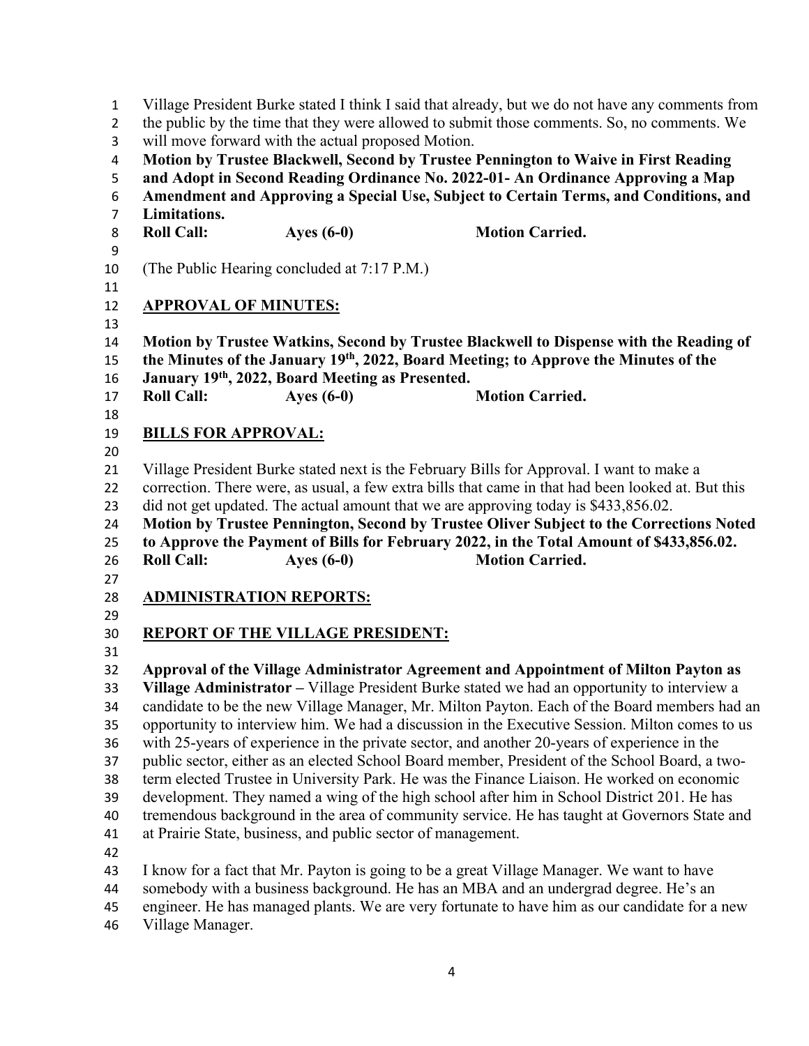Village President Burke stated I think I said that already, but we do not have any comments from 2 the public by the time that they were allowed to submit those comments. So, no comments. We will move forward with the actual proposed Motion. **Motion by Trustee Blackwell, Second by Trustee Pennington to Waive in First Reading and Adopt in Second Reading Ordinance No. 2022-01- An Ordinance Approving a Map Amendment and Approving a Special Use, Subject to Certain Terms, and Conditions, and Limitations.**  8 Roll Call: **Ayes (6-0) Motion Carried.**  (The Public Hearing concluded at 7:17 P.M.) **APPROVAL OF MINUTES: Motion by Trustee Watkins, Second by Trustee Blackwell to Dispense with the Reading of the Minutes of the January 19th, 2022, Board Meeting; to Approve the Minutes of the January 19th, 2022, Board Meeting as Presented. Roll Call: Ayes (6-0) Motion Carried. BILLS FOR APPROVAL:**  Village President Burke stated next is the February Bills for Approval. I want to make a correction. There were, as usual, a few extra bills that came in that had been looked at. But this did not get updated. The actual amount that we are approving today is \$433,856.02. **Motion by Trustee Pennington, Second by Trustee Oliver Subject to the Corrections Noted to Approve the Payment of Bills for February 2022, in the Total Amount of \$433,856.02. Roll Call: Ayes (6-0) Motion Carried. ADMINISTRATION REPORTS: REPORT OF THE VILLAGE PRESIDENT: Approval of the Village Administrator Agreement and Appointment of Milton Payton as Village Administrator –** Village President Burke stated we had an opportunity to interview a candidate to be the new Village Manager, Mr. Milton Payton. Each of the Board members had an opportunity to interview him. We had a discussion in the Executive Session. Milton comes to us with 25-years of experience in the private sector, and another 20-years of experience in the public sector, either as an elected School Board member, President of the School Board, a two- term elected Trustee in University Park. He was the Finance Liaison. He worked on economic development. They named a wing of the high school after him in School District 201. He has tremendous background in the area of community service. He has taught at Governors State and at Prairie State, business, and public sector of management. I know for a fact that Mr. Payton is going to be a great Village Manager. We want to have somebody with a business background. He has an MBA and an undergrad degree. He's an engineer. He has managed plants. We are very fortunate to have him as our candidate for a new

Village Manager.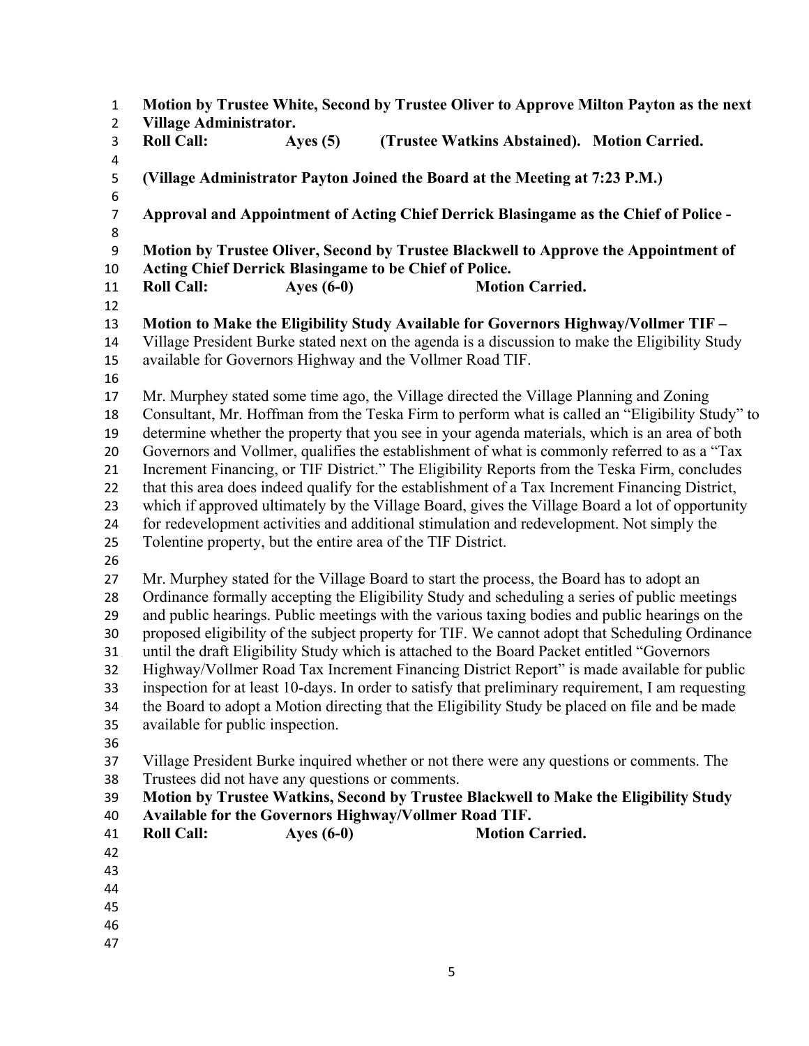**Motion by Trustee White, Second by Trustee Oliver to Approve Milton Payton as the next Village Administrator. Roll Call: Ayes (5) (Trustee Watkins Abstained). Motion Carried. (Village Administrator Payton Joined the Board at the Meeting at 7:23 P.M.) Approval and Appointment of Acting Chief Derrick Blasingame as the Chief of Police - Motion by Trustee Oliver, Second by Trustee Blackwell to Approve the Appointment of Acting Chief Derrick Blasingame to be Chief of Police. Roll Call:** Ayes (6-0) Motion Carried. **Motion to Make the Eligibility Study Available for Governors Highway/Vollmer TIF –**  Village President Burke stated next on the agenda is a discussion to make the Eligibility Study available for Governors Highway and the Vollmer Road TIF. Mr. Murphey stated some time ago, the Village directed the Village Planning and Zoning Consultant, Mr. Hoffman from the Teska Firm to perform what is called an "Eligibility Study" to determine whether the property that you see in your agenda materials, which is an area of both Governors and Vollmer, qualifies the establishment of what is commonly referred to as a "Tax Increment Financing, or TIF District." The Eligibility Reports from the Teska Firm, concludes that this area does indeed qualify for the establishment of a Tax Increment Financing District, which if approved ultimately by the Village Board, gives the Village Board a lot of opportunity for redevelopment activities and additional stimulation and redevelopment. Not simply the Tolentine property, but the entire area of the TIF District. Mr. Murphey stated for the Village Board to start the process, the Board has to adopt an Ordinance formally accepting the Eligibility Study and scheduling a series of public meetings and public hearings. Public meetings with the various taxing bodies and public hearings on the proposed eligibility of the subject property for TIF. We cannot adopt that Scheduling Ordinance until the draft Eligibility Study which is attached to the Board Packet entitled "Governors Highway/Vollmer Road Tax Increment Financing District Report" is made available for public inspection for at least 10-days. In order to satisfy that preliminary requirement, I am requesting the Board to adopt a Motion directing that the Eligibility Study be placed on file and be made available for public inspection. Village President Burke inquired whether or not there were any questions or comments. The Trustees did not have any questions or comments. **Motion by Trustee Watkins, Second by Trustee Blackwell to Make the Eligibility Study Available for the Governors Highway/Vollmer Road TIF. Roll Call: Ayes (6-0) Motion Carried.**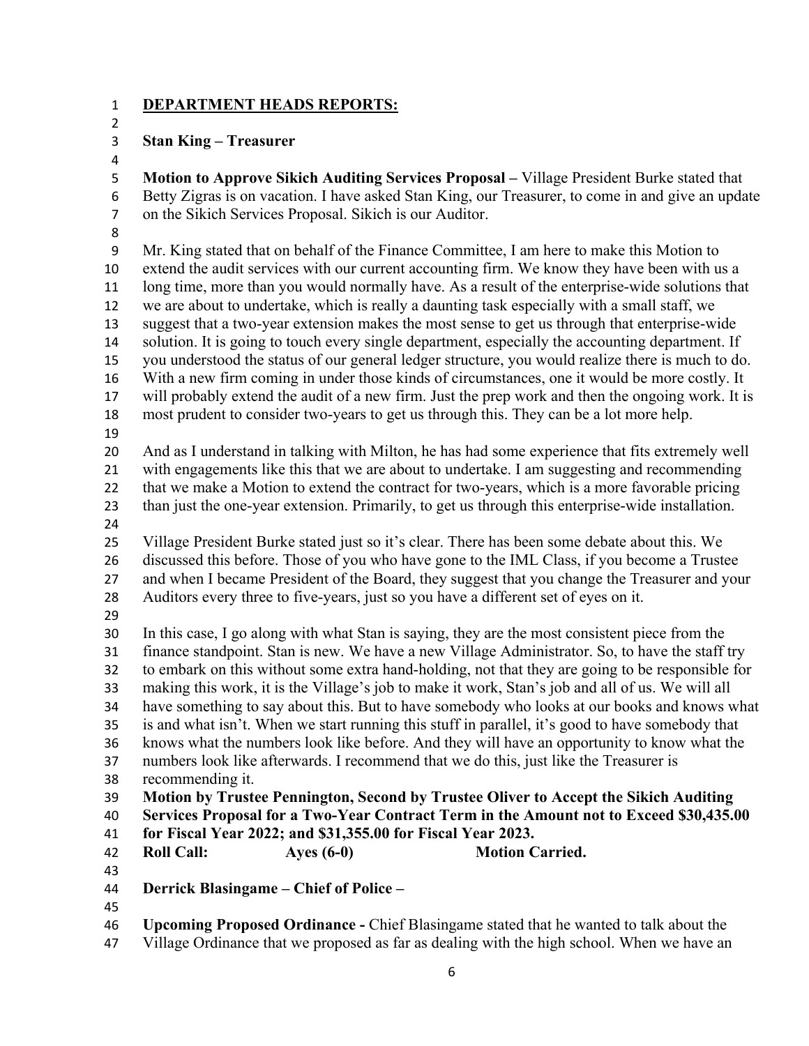### **DEPARTMENT HEADS REPORTS:**

### **Stan King – Treasurer**

 **Motion to Approve Sikich Auditing Services Proposal –** Village President Burke stated that Betty Zigras is on vacation. I have asked Stan King, our Treasurer, to come in and give an update on the Sikich Services Proposal. Sikich is our Auditor.

 Mr. King stated that on behalf of the Finance Committee, I am here to make this Motion to extend the audit services with our current accounting firm. We know they have been with us a long time, more than you would normally have. As a result of the enterprise-wide solutions that we are about to undertake, which is really a daunting task especially with a small staff, we suggest that a two-year extension makes the most sense to get us through that enterprise-wide solution. It is going to touch every single department, especially the accounting department. If you understood the status of our general ledger structure, you would realize there is much to do. With a new firm coming in under those kinds of circumstances, one it would be more costly. It will probably extend the audit of a new firm. Just the prep work and then the ongoing work. It is most prudent to consider two-years to get us through this. They can be a lot more help. And as I understand in talking with Milton, he has had some experience that fits extremely well with engagements like this that we are about to undertake. I am suggesting and recommending that we make a Motion to extend the contract for two-years, which is a more favorable pricing than just the one-year extension. Primarily, to get us through this enterprise-wide installation. Village President Burke stated just so it's clear. There has been some debate about this. We discussed this before. Those of you who have gone to the IML Class, if you become a Trustee and when I became President of the Board, they suggest that you change the Treasurer and your Auditors every three to five-years, just so you have a different set of eyes on it. In this case, I go along with what Stan is saying, they are the most consistent piece from the finance standpoint. Stan is new. We have a new Village Administrator. So, to have the staff try to embark on this without some extra hand-holding, not that they are going to be responsible for making this work, it is the Village's job to make it work, Stan's job and all of us. We will all have something to say about this. But to have somebody who looks at our books and knows what is and what isn't. When we start running this stuff in parallel, it's good to have somebody that knows what the numbers look like before. And they will have an opportunity to know what the numbers look like afterwards. I recommend that we do this, just like the Treasurer is recommending it. **Motion by Trustee Pennington, Second by Trustee Oliver to Accept the Sikich Auditing Services Proposal for a Two-Year Contract Term in the Amount not to Exceed \$30,435.00 for Fiscal Year 2022; and \$31,355.00 for Fiscal Year 2023. Roll Call: Ayes (6-0) Motion Carried. Derrick Blasingame – Chief of Police –**  

- **Upcoming Proposed Ordinance** Chief Blasingame stated that he wanted to talk about the
- Village Ordinance that we proposed as far as dealing with the high school. When we have an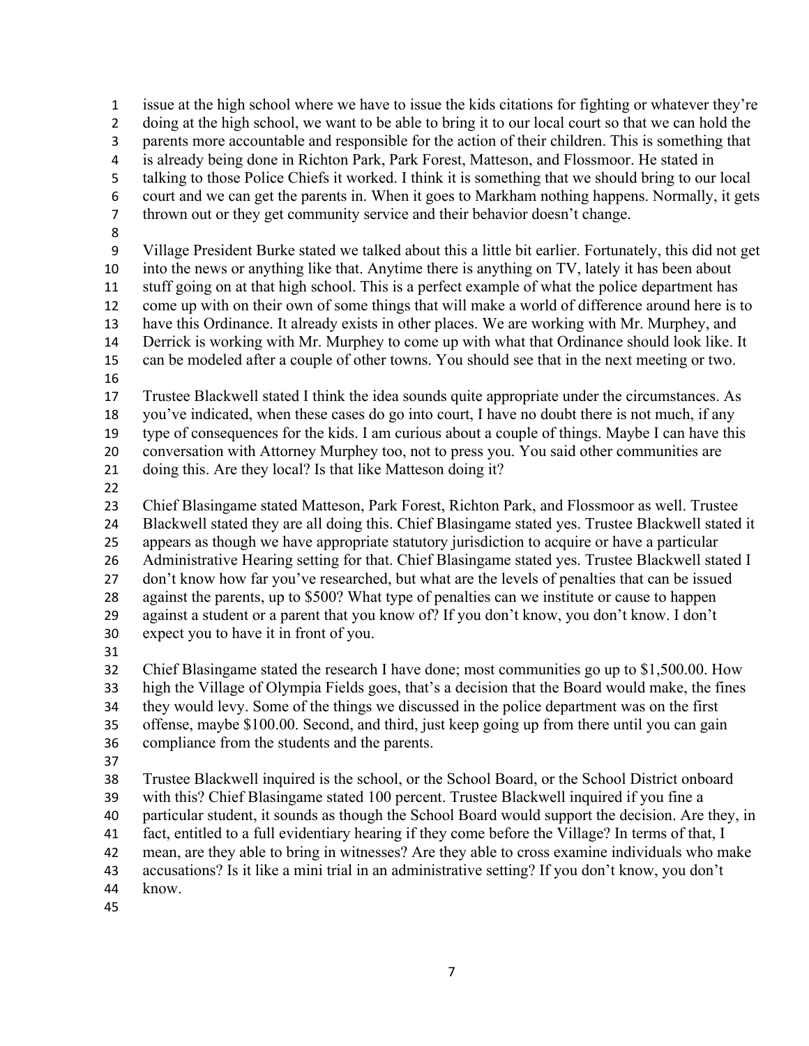issue at the high school where we have to issue the kids citations for fighting or whatever they're doing at the high school, we want to be able to bring it to our local court so that we can hold the parents more accountable and responsible for the action of their children. This is something that is already being done in Richton Park, Park Forest, Matteson, and Flossmoor. He stated in talking to those Police Chiefs it worked. I think it is something that we should bring to our local court and we can get the parents in. When it goes to Markham nothing happens. Normally, it gets thrown out or they get community service and their behavior doesn't change. Village President Burke stated we talked about this a little bit earlier. Fortunately, this did not get into the news or anything like that. Anytime there is anything on TV, lately it has been about stuff going on at that high school. This is a perfect example of what the police department has come up with on their own of some things that will make a world of difference around here is to have this Ordinance. It already exists in other places. We are working with Mr. Murphey, and Derrick is working with Mr. Murphey to come up with what that Ordinance should look like. It can be modeled after a couple of other towns. You should see that in the next meeting or two. Trustee Blackwell stated I think the idea sounds quite appropriate under the circumstances. As you've indicated, when these cases do go into court, I have no doubt there is not much, if any type of consequences for the kids. I am curious about a couple of things. Maybe I can have this conversation with Attorney Murphey too, not to press you. You said other communities are 21 doing this. Are they local? Is that like Matteson doing it? Chief Blasingame stated Matteson, Park Forest, Richton Park, and Flossmoor as well. Trustee Blackwell stated they are all doing this. Chief Blasingame stated yes. Trustee Blackwell stated it appears as though we have appropriate statutory jurisdiction to acquire or have a particular 26 Administrative Hearing setting for that. Chief Blasingame stated yes. Trustee Blackwell stated I don't know how far you've researched, but what are the levels of penalties that can be issued against the parents, up to \$500? What type of penalties can we institute or cause to happen against a student or a parent that you know of? If you don't know, you don't know. I don't expect you to have it in front of you. Chief Blasingame stated the research I have done; most communities go up to \$1,500.00. How high the Village of Olympia Fields goes, that's a decision that the Board would make, the fines they would levy. Some of the things we discussed in the police department was on the first offense, maybe \$100.00. Second, and third, just keep going up from there until you can gain compliance from the students and the parents. Trustee Blackwell inquired is the school, or the School Board, or the School District onboard with this? Chief Blasingame stated 100 percent. Trustee Blackwell inquired if you fine a particular student, it sounds as though the School Board would support the decision. Are they, in fact, entitled to a full evidentiary hearing if they come before the Village? In terms of that, I mean, are they able to bring in witnesses? Are they able to cross examine individuals who make accusations? Is it like a mini trial in an administrative setting? If you don't know, you don't

- know.
-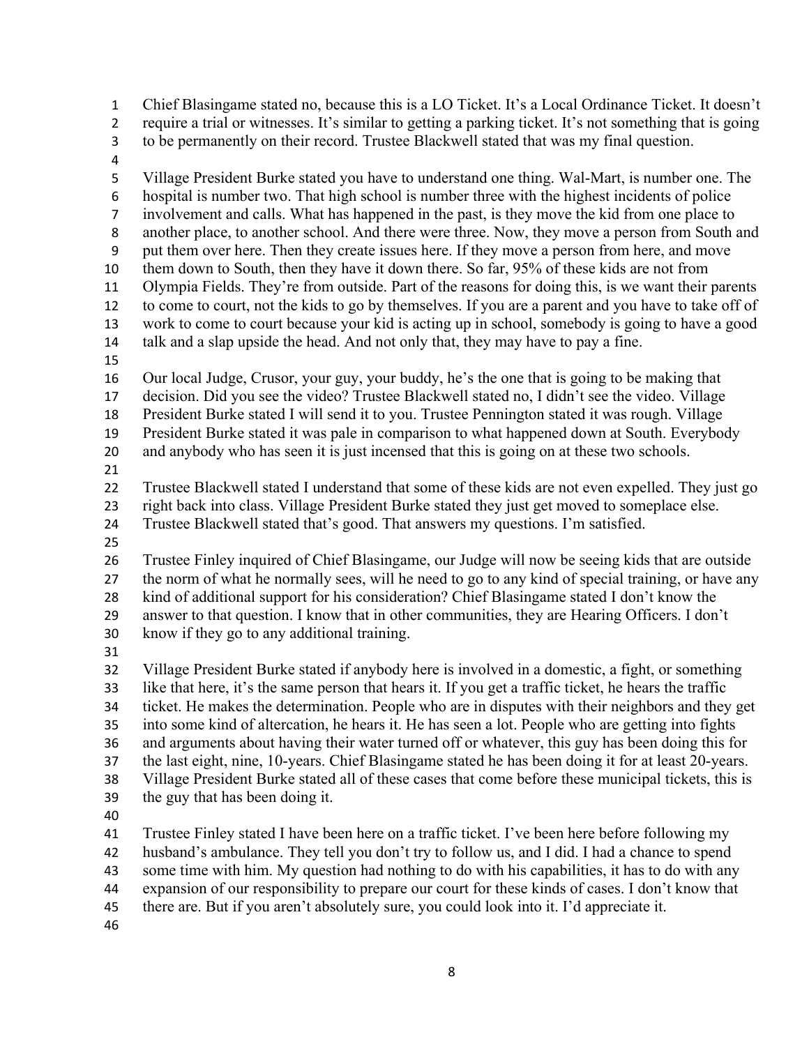Chief Blasingame stated no, because this is a LO Ticket. It's a Local Ordinance Ticket. It doesn't require a trial or witnesses. It's similar to getting a parking ticket. It's not something that is going to be permanently on their record. Trustee Blackwell stated that was my final question.

 Village President Burke stated you have to understand one thing. Wal-Mart, is number one. The hospital is number two. That high school is number three with the highest incidents of police involvement and calls. What has happened in the past, is they move the kid from one place to another place, to another school. And there were three. Now, they move a person from South and put them over here. Then they create issues here. If they move a person from here, and move them down to South, then they have it down there. So far, 95% of these kids are not from Olympia Fields. They're from outside. Part of the reasons for doing this, is we want their parents to come to court, not the kids to go by themselves. If you are a parent and you have to take off of work to come to court because your kid is acting up in school, somebody is going to have a good talk and a slap upside the head. And not only that, they may have to pay a fine. Our local Judge, Crusor, your guy, your buddy, he's the one that is going to be making that decision. Did you see the video? Trustee Blackwell stated no, I didn't see the video. Village President Burke stated I will send it to you. Trustee Pennington stated it was rough. Village President Burke stated it was pale in comparison to what happened down at South. Everybody and anybody who has seen it is just incensed that this is going on at these two schools. Trustee Blackwell stated I understand that some of these kids are not even expelled. They just go right back into class. Village President Burke stated they just get moved to someplace else. Trustee Blackwell stated that's good. That answers my questions. I'm satisfied. Trustee Finley inquired of Chief Blasingame, our Judge will now be seeing kids that are outside the norm of what he normally sees, will he need to go to any kind of special training, or have any kind of additional support for his consideration? Chief Blasingame stated I don't know the answer to that question. I know that in other communities, they are Hearing Officers. I don't know if they go to any additional training. Village President Burke stated if anybody here is involved in a domestic, a fight, or something like that here, it's the same person that hears it. If you get a traffic ticket, he hears the traffic ticket. He makes the determination. People who are in disputes with their neighbors and they get into some kind of altercation, he hears it. He has seen a lot. People who are getting into fights and arguments about having their water turned off or whatever, this guy has been doing this for the last eight, nine, 10-years. Chief Blasingame stated he has been doing it for at least 20-years. Village President Burke stated all of these cases that come before these municipal tickets, this is the guy that has been doing it. Trustee Finley stated I have been here on a traffic ticket. I've been here before following my husband's ambulance. They tell you don't try to follow us, and I did. I had a chance to spend some time with him. My question had nothing to do with his capabilities, it has to do with any

expansion of our responsibility to prepare our court for these kinds of cases. I don't know that

there are. But if you aren't absolutely sure, you could look into it. I'd appreciate it.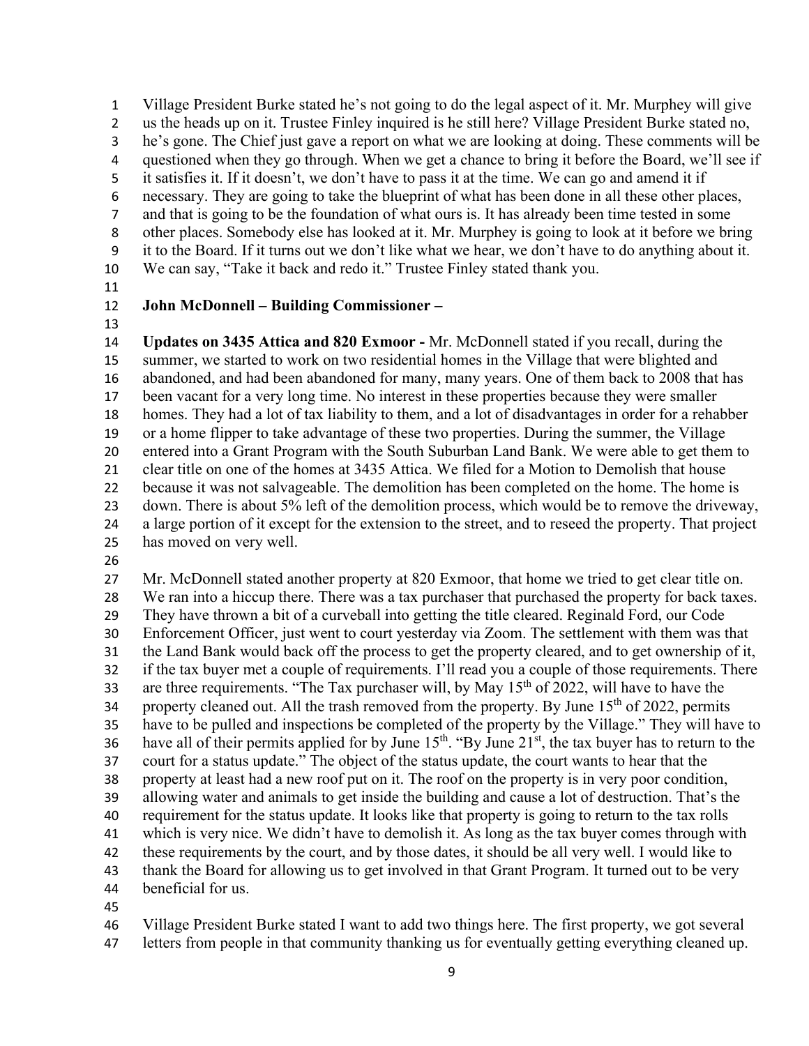Village President Burke stated he's not going to do the legal aspect of it. Mr. Murphey will give us the heads up on it. Trustee Finley inquired is he still here? Village President Burke stated no, he's gone. The Chief just gave a report on what we are looking at doing. These comments will be questioned when they go through. When we get a chance to bring it before the Board, we'll see if it satisfies it. If it doesn't, we don't have to pass it at the time. We can go and amend it if necessary. They are going to take the blueprint of what has been done in all these other places, and that is going to be the foundation of what ours is. It has already been time tested in some other places. Somebody else has looked at it. Mr. Murphey is going to look at it before we bring it to the Board. If it turns out we don't like what we hear, we don't have to do anything about it. We can say, "Take it back and redo it." Trustee Finley stated thank you.

#### **John McDonnell – Building Commissioner –**

 **Updates on 3435 Attica and 820 Exmoor -** Mr. McDonnell stated if you recall, during the summer, we started to work on two residential homes in the Village that were blighted and abandoned, and had been abandoned for many, many years. One of them back to 2008 that has been vacant for a very long time. No interest in these properties because they were smaller homes. They had a lot of tax liability to them, and a lot of disadvantages in order for a rehabber or a home flipper to take advantage of these two properties. During the summer, the Village entered into a Grant Program with the South Suburban Land Bank. We were able to get them to clear title on one of the homes at 3435 Attica. We filed for a Motion to Demolish that house because it was not salvageable. The demolition has been completed on the home. The home is down. There is about 5% left of the demolition process, which would be to remove the driveway, a large portion of it except for the extension to the street, and to reseed the property. That project has moved on very well.

 Mr. McDonnell stated another property at 820 Exmoor, that home we tried to get clear title on. We ran into a hiccup there. There was a tax purchaser that purchased the property for back taxes. They have thrown a bit of a curveball into getting the title cleared. Reginald Ford, our Code Enforcement Officer, just went to court yesterday via Zoom. The settlement with them was that the Land Bank would back off the process to get the property cleared, and to get ownership of it, if the tax buyer met a couple of requirements. I'll read you a couple of those requirements. There are three requirements. "The Tax purchaser will, by May  $15<sup>th</sup>$  of 2022, will have to have the 34 property cleaned out. All the trash removed from the property. By June  $15<sup>th</sup>$  of 2022, permits have to be pulled and inspections be completed of the property by the Village." They will have to 36 have all of their permits applied for by June  $15<sup>th</sup>$ . "By June  $21<sup>st</sup>$ , the tax buyer has to return to the court for a status update." The object of the status update, the court wants to hear that the property at least had a new roof put on it. The roof on the property is in very poor condition, allowing water and animals to get inside the building and cause a lot of destruction. That's the requirement for the status update. It looks like that property is going to return to the tax rolls which is very nice. We didn't have to demolish it. As long as the tax buyer comes through with these requirements by the court, and by those dates, it should be all very well. I would like to thank the Board for allowing us to get involved in that Grant Program. It turned out to be very beneficial for us.

Village President Burke stated I want to add two things here. The first property, we got several

letters from people in that community thanking us for eventually getting everything cleaned up.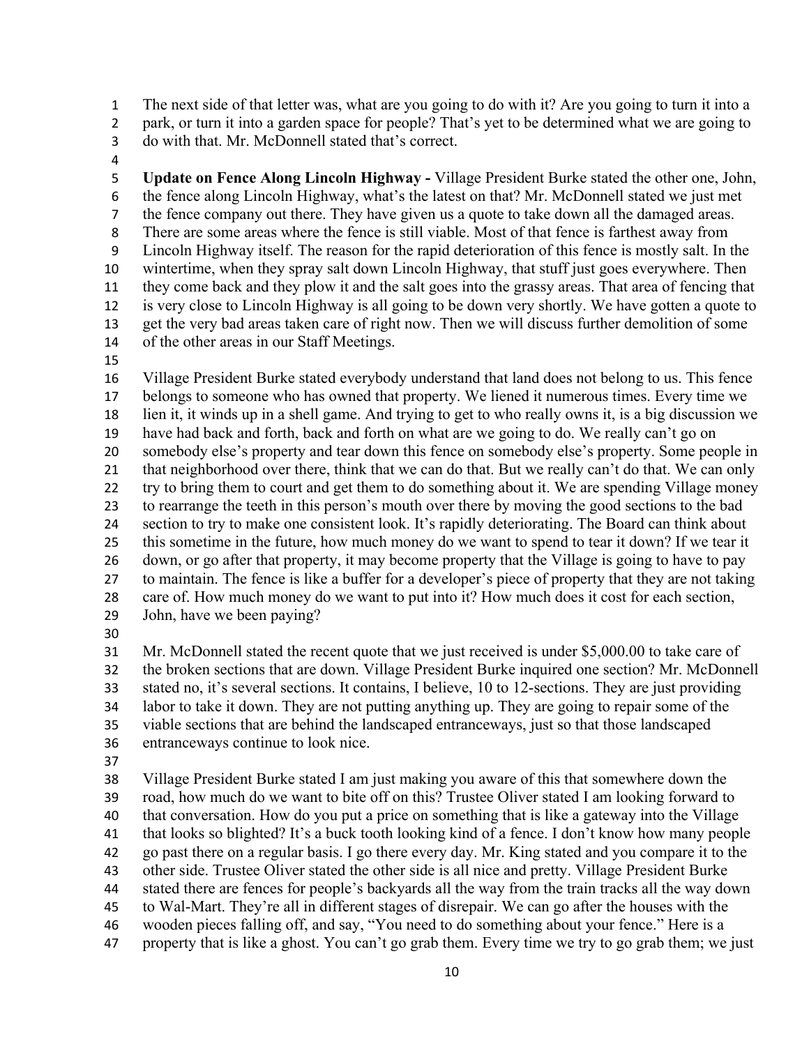The next side of that letter was, what are you going to do with it? Are you going to turn it into a

park, or turn it into a garden space for people? That's yet to be determined what we are going to

- do with that. Mr. McDonnell stated that's correct.
- 

 **Update on Fence Along Lincoln Highway -** Village President Burke stated the other one, John, the fence along Lincoln Highway, what's the latest on that? Mr. McDonnell stated we just met 7 the fence company out there. They have given us a quote to take down all the damaged areas. There are some areas where the fence is still viable. Most of that fence is farthest away from Lincoln Highway itself. The reason for the rapid deterioration of this fence is mostly salt. In the wintertime, when they spray salt down Lincoln Highway, that stuff just goes everywhere. Then they come back and they plow it and the salt goes into the grassy areas. That area of fencing that is very close to Lincoln Highway is all going to be down very shortly. We have gotten a quote to get the very bad areas taken care of right now. Then we will discuss further demolition of some of the other areas in our Staff Meetings.

 Village President Burke stated everybody understand that land does not belong to us. This fence belongs to someone who has owned that property. We liened it numerous times. Every time we lien it, it winds up in a shell game. And trying to get to who really owns it, is a big discussion we have had back and forth, back and forth on what are we going to do. We really can't go on somebody else's property and tear down this fence on somebody else's property. Some people in that neighborhood over there, think that we can do that. But we really can't do that. We can only try to bring them to court and get them to do something about it. We are spending Village money to rearrange the teeth in this person's mouth over there by moving the good sections to the bad section to try to make one consistent look. It's rapidly deteriorating. The Board can think about this sometime in the future, how much money do we want to spend to tear it down? If we tear it down, or go after that property, it may become property that the Village is going to have to pay to maintain. The fence is like a buffer for a developer's piece of property that they are not taking care of. How much money do we want to put into it? How much does it cost for each section, John, have we been paying?

 Mr. McDonnell stated the recent quote that we just received is under \$5,000.00 to take care of the broken sections that are down. Village President Burke inquired one section? Mr. McDonnell stated no, it's several sections. It contains, I believe, 10 to 12-sections. They are just providing labor to take it down. They are not putting anything up. They are going to repair some of the viable sections that are behind the landscaped entranceways, just so that those landscaped entranceways continue to look nice.

 Village President Burke stated I am just making you aware of this that somewhere down the road, how much do we want to bite off on this? Trustee Oliver stated I am looking forward to that conversation. How do you put a price on something that is like a gateway into the Village that looks so blighted? It's a buck tooth looking kind of a fence. I don't know how many people go past there on a regular basis. I go there every day. Mr. King stated and you compare it to the other side. Trustee Oliver stated the other side is all nice and pretty. Village President Burke stated there are fences for people's backyards all the way from the train tracks all the way down to Wal-Mart. They're all in different stages of disrepair. We can go after the houses with the wooden pieces falling off, and say, "You need to do something about your fence." Here is a property that is like a ghost. You can't go grab them. Every time we try to go grab them; we just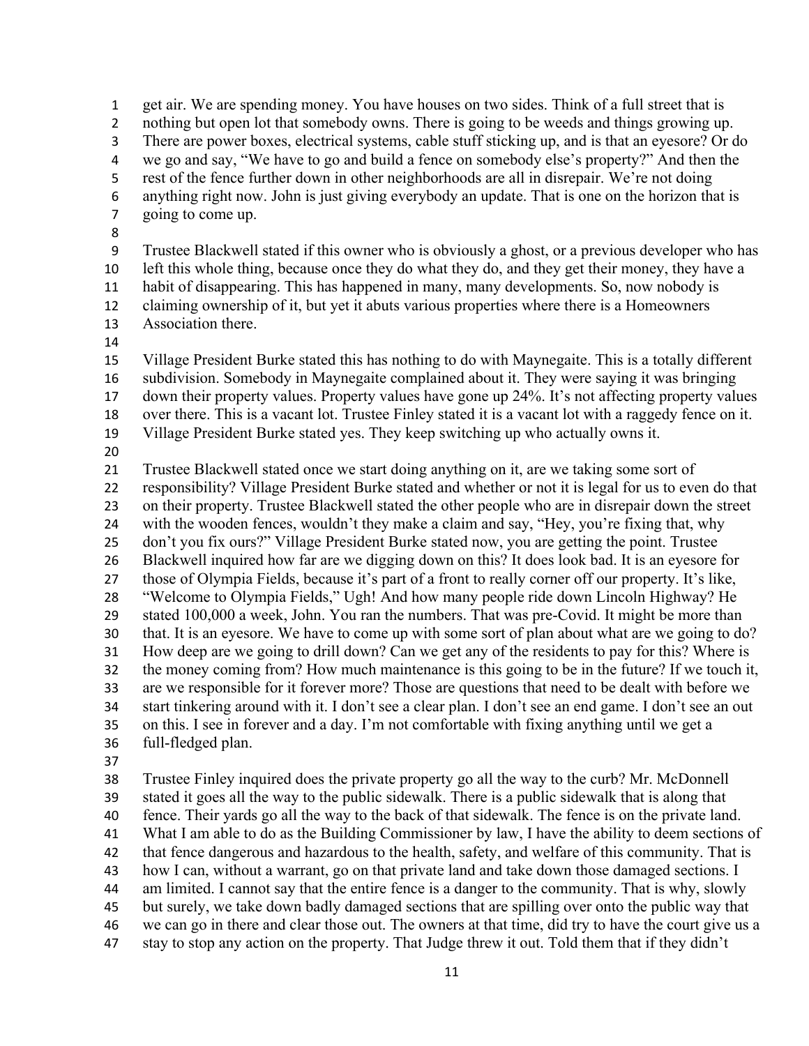get air. We are spending money. You have houses on two sides. Think of a full street that is 2 nothing but open lot that somebody owns. There is going to be weeds and things growing up. There are power boxes, electrical systems, cable stuff sticking up, and is that an eyesore? Or do we go and say, "We have to go and build a fence on somebody else's property?" And then the rest of the fence further down in other neighborhoods are all in disrepair. We're not doing anything right now. John is just giving everybody an update. That is one on the horizon that is going to come up. 

 Trustee Blackwell stated if this owner who is obviously a ghost, or a previous developer who has left this whole thing, because once they do what they do, and they get their money, they have a habit of disappearing. This has happened in many, many developments. So, now nobody is claiming ownership of it, but yet it abuts various properties where there is a Homeowners Association there.

 Village President Burke stated this has nothing to do with Maynegaite. This is a totally different subdivision. Somebody in Maynegaite complained about it. They were saying it was bringing down their property values. Property values have gone up 24%. It's not affecting property values over there. This is a vacant lot. Trustee Finley stated it is a vacant lot with a raggedy fence on it. Village President Burke stated yes. They keep switching up who actually owns it.

 Trustee Blackwell stated once we start doing anything on it, are we taking some sort of responsibility? Village President Burke stated and whether or not it is legal for us to even do that on their property. Trustee Blackwell stated the other people who are in disrepair down the street with the wooden fences, wouldn't they make a claim and say, "Hey, you're fixing that, why don't you fix ours?" Village President Burke stated now, you are getting the point. Trustee Blackwell inquired how far are we digging down on this? It does look bad. It is an eyesore for those of Olympia Fields, because it's part of a front to really corner off our property. It's like, "Welcome to Olympia Fields," Ugh! And how many people ride down Lincoln Highway? He stated 100,000 a week, John. You ran the numbers. That was pre-Covid. It might be more than that. It is an eyesore. We have to come up with some sort of plan about what are we going to do? How deep are we going to drill down? Can we get any of the residents to pay for this? Where is the money coming from? How much maintenance is this going to be in the future? If we touch it, are we responsible for it forever more? Those are questions that need to be dealt with before we start tinkering around with it. I don't see a clear plan. I don't see an end game. I don't see an out on this. I see in forever and a day. I'm not comfortable with fixing anything until we get a full-fledged plan.

 Trustee Finley inquired does the private property go all the way to the curb? Mr. McDonnell stated it goes all the way to the public sidewalk. There is a public sidewalk that is along that fence. Their yards go all the way to the back of that sidewalk. The fence is on the private land. What I am able to do as the Building Commissioner by law, I have the ability to deem sections of that fence dangerous and hazardous to the health, safety, and welfare of this community. That is how I can, without a warrant, go on that private land and take down those damaged sections. I am limited. I cannot say that the entire fence is a danger to the community. That is why, slowly but surely, we take down badly damaged sections that are spilling over onto the public way that we can go in there and clear those out. The owners at that time, did try to have the court give us a stay to stop any action on the property. That Judge threw it out. Told them that if they didn't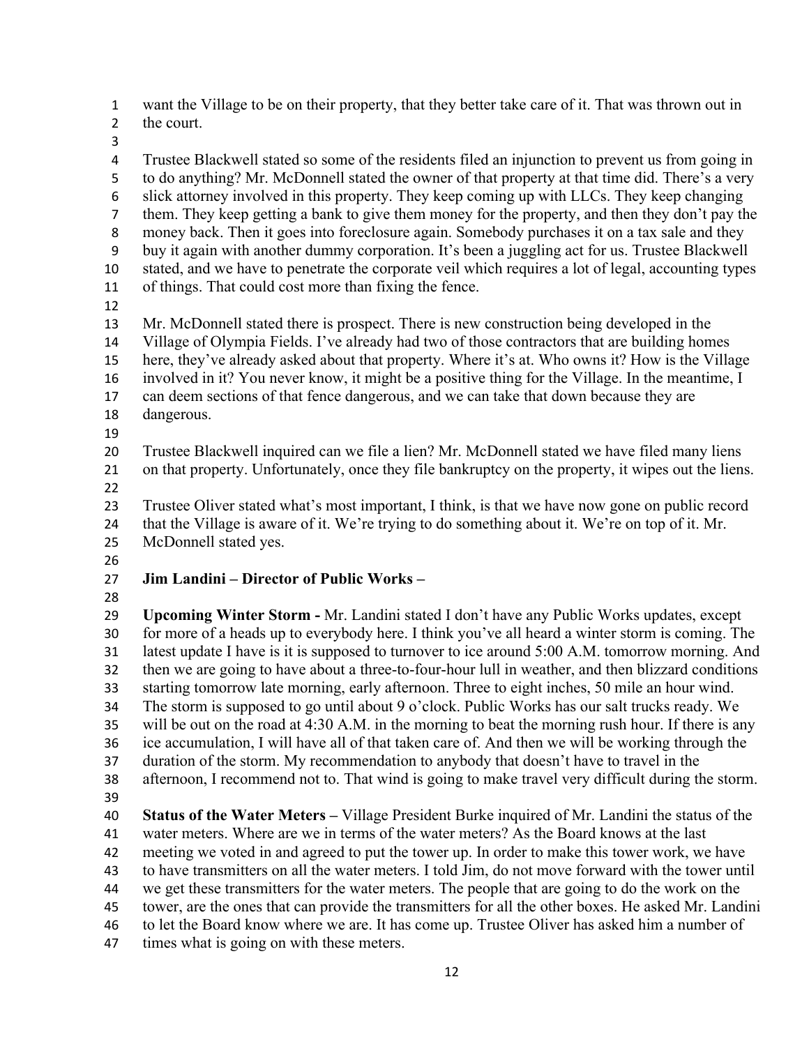want the Village to be on their property, that they better take care of it. That was thrown out in the court.

 Trustee Blackwell stated so some of the residents filed an injunction to prevent us from going in to do anything? Mr. McDonnell stated the owner of that property at that time did. There's a very slick attorney involved in this property. They keep coming up with LLCs. They keep changing them. They keep getting a bank to give them money for the property, and then they don't pay the money back. Then it goes into foreclosure again. Somebody purchases it on a tax sale and they buy it again with another dummy corporation. It's been a juggling act for us. Trustee Blackwell stated, and we have to penetrate the corporate veil which requires a lot of legal, accounting types of things. That could cost more than fixing the fence. Mr. McDonnell stated there is prospect. There is new construction being developed in the Village of Olympia Fields. I've already had two of those contractors that are building homes here, they've already asked about that property. Where it's at. Who owns it? How is the Village involved in it? You never know, it might be a positive thing for the Village. In the meantime, I can deem sections of that fence dangerous, and we can take that down because they are dangerous. 

 Trustee Blackwell inquired can we file a lien? Mr. McDonnell stated we have filed many liens on that property. Unfortunately, once they file bankruptcy on the property, it wipes out the liens. 

- Trustee Oliver stated what's most important, I think, is that we have now gone on public record that the Village is aware of it. We're trying to do something about it. We're on top of it. Mr.
- McDonnell stated yes.
- 

### **Jim Landini – Director of Public Works –**

 **Upcoming Winter Storm -** Mr. Landini stated I don't have any Public Works updates, except for more of a heads up to everybody here. I think you've all heard a winter storm is coming. The latest update I have is it is supposed to turnover to ice around 5:00 A.M. tomorrow morning. And then we are going to have about a three-to-four-hour lull in weather, and then blizzard conditions starting tomorrow late morning, early afternoon. Three to eight inches, 50 mile an hour wind. The storm is supposed to go until about 9 o'clock. Public Works has our salt trucks ready. We will be out on the road at 4:30 A.M. in the morning to beat the morning rush hour. If there is any ice accumulation, I will have all of that taken care of. And then we will be working through the duration of the storm. My recommendation to anybody that doesn't have to travel in the afternoon, I recommend not to. That wind is going to make travel very difficult during the storm. **Status of the Water Meters –** Village President Burke inquired of Mr. Landini the status of the water meters. Where are we in terms of the water meters? As the Board knows at the last meeting we voted in and agreed to put the tower up. In order to make this tower work, we have to have transmitters on all the water meters. I told Jim, do not move forward with the tower until we get these transmitters for the water meters. The people that are going to do the work on the tower, are the ones that can provide the transmitters for all the other boxes. He asked Mr. Landini to let the Board know where we are. It has come up. Trustee Oliver has asked him a number of times what is going on with these meters.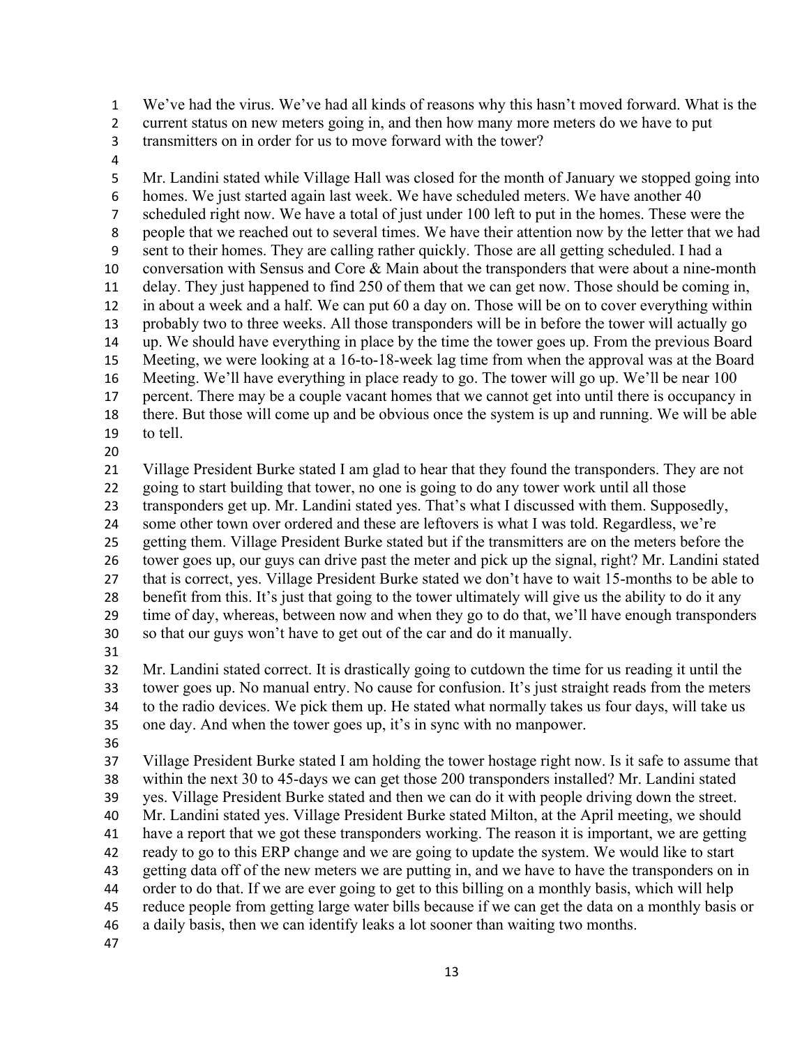We've had the virus. We've had all kinds of reasons why this hasn't moved forward. What is the

current status on new meters going in, and then how many more meters do we have to put

- transmitters on in order for us to move forward with the tower?
- 

 Mr. Landini stated while Village Hall was closed for the month of January we stopped going into homes. We just started again last week. We have scheduled meters. We have another 40 scheduled right now. We have a total of just under 100 left to put in the homes. These were the people that we reached out to several times. We have their attention now by the letter that we had sent to their homes. They are calling rather quickly. Those are all getting scheduled. I had a 10 conversation with Sensus and Core  $\&$  Main about the transponders that were about a nine-month delay. They just happened to find 250 of them that we can get now. Those should be coming in, in about a week and a half. We can put 60 a day on. Those will be on to cover everything within probably two to three weeks. All those transponders will be in before the tower will actually go up. We should have everything in place by the time the tower goes up. From the previous Board Meeting, we were looking at a 16-to-18-week lag time from when the approval was at the Board Meeting. We'll have everything in place ready to go. The tower will go up. We'll be near 100 percent. There may be a couple vacant homes that we cannot get into until there is occupancy in there. But those will come up and be obvious once the system is up and running. We will be able to tell.

 Village President Burke stated I am glad to hear that they found the transponders. They are not going to start building that tower, no one is going to do any tower work until all those transponders get up. Mr. Landini stated yes. That's what I discussed with them. Supposedly, some other town over ordered and these are leftovers is what I was told. Regardless, we're

getting them. Village President Burke stated but if the transmitters are on the meters before the

 tower goes up, our guys can drive past the meter and pick up the signal, right? Mr. Landini stated that is correct, yes. Village President Burke stated we don't have to wait 15-months to be able to benefit from this. It's just that going to the tower ultimately will give us the ability to do it any

 time of day, whereas, between now and when they go to do that, we'll have enough transponders so that our guys won't have to get out of the car and do it manually.

 Mr. Landini stated correct. It is drastically going to cutdown the time for us reading it until the tower goes up. No manual entry. No cause for confusion. It's just straight reads from the meters to the radio devices. We pick them up. He stated what normally takes us four days, will take us one day. And when the tower goes up, it's in sync with no manpower.

 Village President Burke stated I am holding the tower hostage right now. Is it safe to assume that within the next 30 to 45-days we can get those 200 transponders installed? Mr. Landini stated yes. Village President Burke stated and then we can do it with people driving down the street. Mr. Landini stated yes. Village President Burke stated Milton, at the April meeting, we should have a report that we got these transponders working. The reason it is important, we are getting ready to go to this ERP change and we are going to update the system. We would like to start getting data off of the new meters we are putting in, and we have to have the transponders on in order to do that. If we are ever going to get to this billing on a monthly basis, which will help reduce people from getting large water bills because if we can get the data on a monthly basis or a daily basis, then we can identify leaks a lot sooner than waiting two months.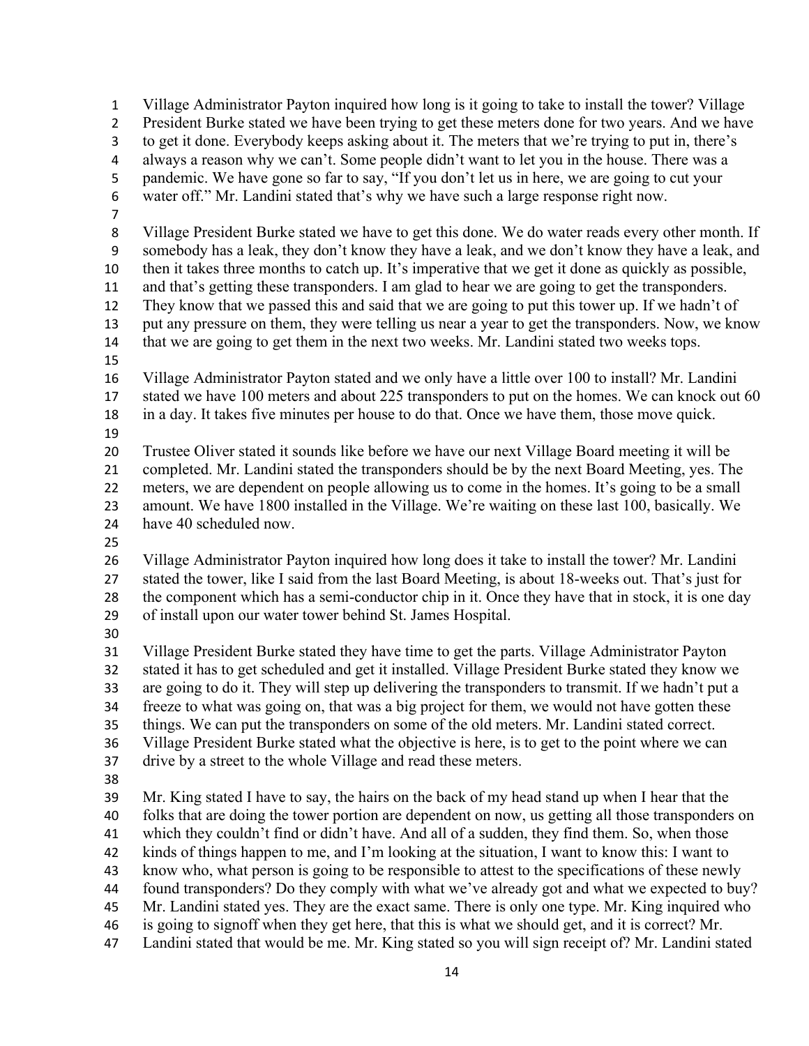Village Administrator Payton inquired how long is it going to take to install the tower? Village President Burke stated we have been trying to get these meters done for two years. And we have to get it done. Everybody keeps asking about it. The meters that we're trying to put in, there's always a reason why we can't. Some people didn't want to let you in the house. There was a pandemic. We have gone so far to say, "If you don't let us in here, we are going to cut your water off." Mr. Landini stated that's why we have such a large response right now. Village President Burke stated we have to get this done. We do water reads every other month. If somebody has a leak, they don't know they have a leak, and we don't know they have a leak, and then it takes three months to catch up. It's imperative that we get it done as quickly as possible, and that's getting these transponders. I am glad to hear we are going to get the transponders. They know that we passed this and said that we are going to put this tower up. If we hadn't of put any pressure on them, they were telling us near a year to get the transponders. Now, we know that we are going to get them in the next two weeks. Mr. Landini stated two weeks tops. Village Administrator Payton stated and we only have a little over 100 to install? Mr. Landini stated we have 100 meters and about 225 transponders to put on the homes. We can knock out 60 in a day. It takes five minutes per house to do that. Once we have them, those move quick. Trustee Oliver stated it sounds like before we have our next Village Board meeting it will be completed. Mr. Landini stated the transponders should be by the next Board Meeting, yes. The meters, we are dependent on people allowing us to come in the homes. It's going to be a small amount. We have 1800 installed in the Village. We're waiting on these last 100, basically. We have 40 scheduled now. Village Administrator Payton inquired how long does it take to install the tower? Mr. Landini stated the tower, like I said from the last Board Meeting, is about 18-weeks out. That's just for the component which has a semi-conductor chip in it. Once they have that in stock, it is one day of install upon our water tower behind St. James Hospital. Village President Burke stated they have time to get the parts. Village Administrator Payton stated it has to get scheduled and get it installed. Village President Burke stated they know we are going to do it. They will step up delivering the transponders to transmit. If we hadn't put a freeze to what was going on, that was a big project for them, we would not have gotten these things. We can put the transponders on some of the old meters. Mr. Landini stated correct. Village President Burke stated what the objective is here, is to get to the point where we can drive by a street to the whole Village and read these meters. Mr. King stated I have to say, the hairs on the back of my head stand up when I hear that the folks that are doing the tower portion are dependent on now, us getting all those transponders on which they couldn't find or didn't have. And all of a sudden, they find them. So, when those kinds of things happen to me, and I'm looking at the situation, I want to know this: I want to know who, what person is going to be responsible to attest to the specifications of these newly found transponders? Do they comply with what we've already got and what we expected to buy? Mr. Landini stated yes. They are the exact same. There is only one type. Mr. King inquired who is going to signoff when they get here, that this is what we should get, and it is correct? Mr. Landini stated that would be me. Mr. King stated so you will sign receipt of? Mr. Landini stated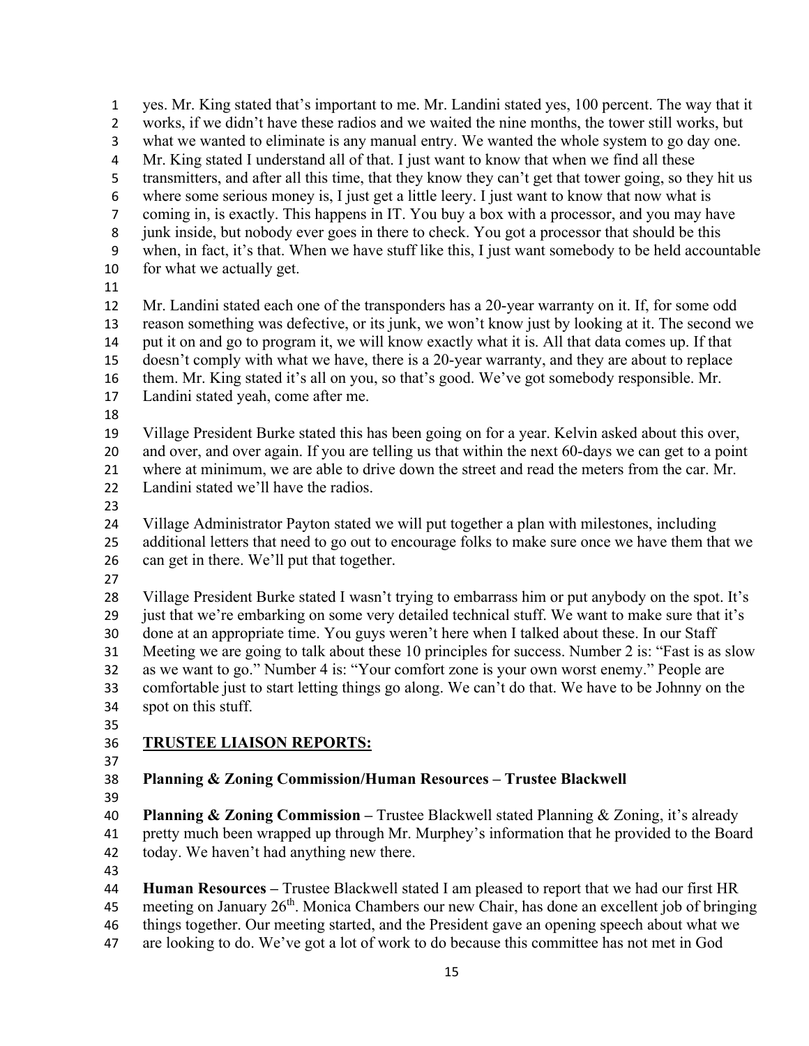yes. Mr. King stated that's important to me. Mr. Landini stated yes, 100 percent. The way that it works, if we didn't have these radios and we waited the nine months, the tower still works, but what we wanted to eliminate is any manual entry. We wanted the whole system to go day one. Mr. King stated I understand all of that. I just want to know that when we find all these transmitters, and after all this time, that they know they can't get that tower going, so they hit us where some serious money is, I just get a little leery. I just want to know that now what is coming in, is exactly. This happens in IT. You buy a box with a processor, and you may have junk inside, but nobody ever goes in there to check. You got a processor that should be this when, in fact, it's that. When we have stuff like this, I just want somebody to be held accountable for what we actually get. Mr. Landini stated each one of the transponders has a 20-year warranty on it. If, for some odd reason something was defective, or its junk, we won't know just by looking at it. The second we put it on and go to program it, we will know exactly what it is. All that data comes up. If that doesn't comply with what we have, there is a 20-year warranty, and they are about to replace them. Mr. King stated it's all on you, so that's good. We've got somebody responsible. Mr. Landini stated yeah, come after me. Village President Burke stated this has been going on for a year. Kelvin asked about this over, and over, and over again. If you are telling us that within the next 60-days we can get to a point where at minimum, we are able to drive down the street and read the meters from the car. Mr. 22 Landini stated we'll have the radios. Village Administrator Payton stated we will put together a plan with milestones, including additional letters that need to go out to encourage folks to make sure once we have them that we can get in there. We'll put that together. Village President Burke stated I wasn't trying to embarrass him or put anybody on the spot. It's 29 just that we're embarking on some very detailed technical stuff. We want to make sure that it's done at an appropriate time. You guys weren't here when I talked about these. In our Staff Meeting we are going to talk about these 10 principles for success. Number 2 is: "Fast is as slow as we want to go." Number 4 is: "Your comfort zone is your own worst enemy." People are comfortable just to start letting things go along. We can't do that. We have to be Johnny on the spot on this stuff. **TRUSTEE LIAISON REPORTS:** 

- 
- 

**Planning & Zoning Commission/Human Resources – Trustee Blackwell** 

 **Planning & Zoning Commission –** Trustee Blackwell stated Planning & Zoning, it's already pretty much been wrapped up through Mr. Murphey's information that he provided to the Board today. We haven't had anything new there.

 **Human Resources –** Trustee Blackwell stated I am pleased to report that we had our first HR 45 meeting on January 26<sup>th</sup>. Monica Chambers our new Chair, has done an excellent job of bringing things together. Our meeting started, and the President gave an opening speech about what we

are looking to do. We've got a lot of work to do because this committee has not met in God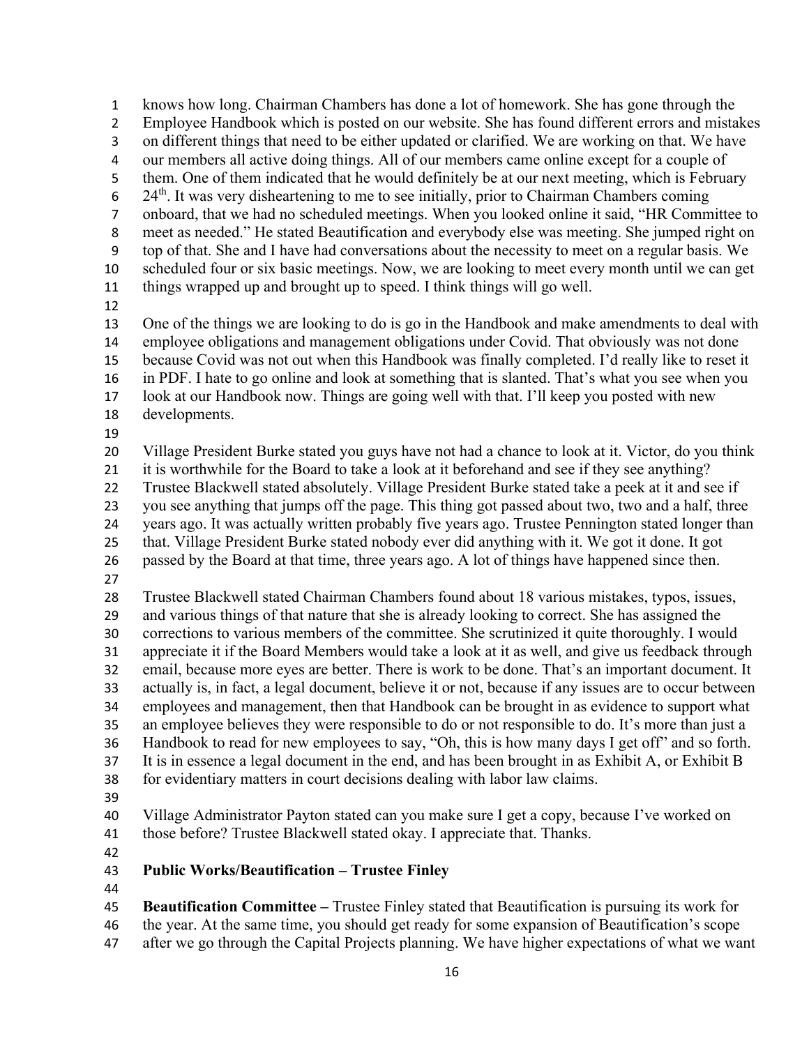knows how long. Chairman Chambers has done a lot of homework. She has gone through the Employee Handbook which is posted on our website. She has found different errors and mistakes on different things that need to be either updated or clarified. We are working on that. We have our members all active doing things. All of our members came online except for a couple of them. One of them indicated that he would definitely be at our next meeting, which is February 24<sup>th</sup>. It was very disheartening to me to see initially, prior to Chairman Chambers coming onboard, that we had no scheduled meetings. When you looked online it said, "HR Committee to meet as needed." He stated Beautification and everybody else was meeting. She jumped right on top of that. She and I have had conversations about the necessity to meet on a regular basis. We scheduled four or six basic meetings. Now, we are looking to meet every month until we can get things wrapped up and brought up to speed. I think things will go well. One of the things we are looking to do is go in the Handbook and make amendments to deal with employee obligations and management obligations under Covid. That obviously was not done because Covid was not out when this Handbook was finally completed. I'd really like to reset it in PDF. I hate to go online and look at something that is slanted. That's what you see when you look at our Handbook now. Things are going well with that. I'll keep you posted with new developments. Village President Burke stated you guys have not had a chance to look at it. Victor, do you think it is worthwhile for the Board to take a look at it beforehand and see if they see anything? Trustee Blackwell stated absolutely. Village President Burke stated take a peek at it and see if you see anything that jumps off the page. This thing got passed about two, two and a half, three years ago. It was actually written probably five years ago. Trustee Pennington stated longer than that. Village President Burke stated nobody ever did anything with it. We got it done. It got passed by the Board at that time, three years ago. A lot of things have happened since then. Trustee Blackwell stated Chairman Chambers found about 18 various mistakes, typos, issues, and various things of that nature that she is already looking to correct. She has assigned the corrections to various members of the committee. She scrutinized it quite thoroughly. I would appreciate it if the Board Members would take a look at it as well, and give us feedback through email, because more eyes are better. There is work to be done. That's an important document. It actually is, in fact, a legal document, believe it or not, because if any issues are to occur between employees and management, then that Handbook can be brought in as evidence to support what an employee believes they were responsible to do or not responsible to do. It's more than just a Handbook to read for new employees to say, "Oh, this is how many days I get off" and so forth. It is in essence a legal document in the end, and has been brought in as Exhibit A, or Exhibit B for evidentiary matters in court decisions dealing with labor law claims. Village Administrator Payton stated can you make sure I get a copy, because I've worked on those before? Trustee Blackwell stated okay. I appreciate that. Thanks. **Public Works/Beautification – Trustee Finley Beautification Committee –** Trustee Finley stated that Beautification is pursuing its work for the year. At the same time, you should get ready for some expansion of Beautification's scope

after we go through the Capital Projects planning. We have higher expectations of what we want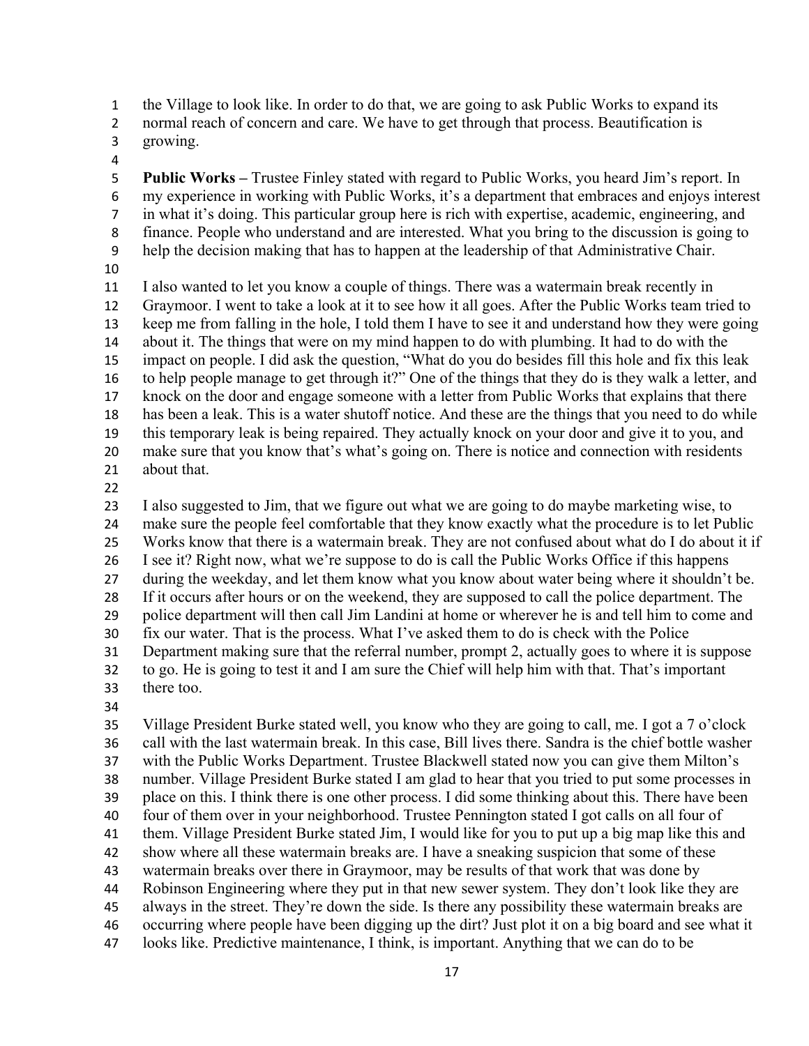the Village to look like. In order to do that, we are going to ask Public Works to expand its

2 normal reach of concern and care. We have to get through that process. Beautification is

- growing.
- 

 **Public Works –** Trustee Finley stated with regard to Public Works, you heard Jim's report. In my experience in working with Public Works, it's a department that embraces and enjoys interest in what it's doing. This particular group here is rich with expertise, academic, engineering, and finance. People who understand and are interested. What you bring to the discussion is going to help the decision making that has to happen at the leadership of that Administrative Chair. 

 I also wanted to let you know a couple of things. There was a watermain break recently in Graymoor. I went to take a look at it to see how it all goes. After the Public Works team tried to keep me from falling in the hole, I told them I have to see it and understand how they were going about it. The things that were on my mind happen to do with plumbing. It had to do with the impact on people. I did ask the question, "What do you do besides fill this hole and fix this leak to help people manage to get through it?" One of the things that they do is they walk a letter, and knock on the door and engage someone with a letter from Public Works that explains that there has been a leak. This is a water shutoff notice. And these are the things that you need to do while this temporary leak is being repaired. They actually knock on your door and give it to you, and make sure that you know that's what's going on. There is notice and connection with residents about that.

 I also suggested to Jim, that we figure out what we are going to do maybe marketing wise, to make sure the people feel comfortable that they know exactly what the procedure is to let Public Works know that there is a watermain break. They are not confused about what do I do about it if I see it? Right now, what we're suppose to do is call the Public Works Office if this happens 27 during the weekday, and let them know what you know about water being where it shouldn't be. If it occurs after hours or on the weekend, they are supposed to call the police department. The police department will then call Jim Landini at home or wherever he is and tell him to come and fix our water. That is the process. What I've asked them to do is check with the Police Department making sure that the referral number, prompt 2, actually goes to where it is suppose to go. He is going to test it and I am sure the Chief will help him with that. That's important there too.

 Village President Burke stated well, you know who they are going to call, me. I got a 7 o'clock call with the last watermain break. In this case, Bill lives there. Sandra is the chief bottle washer with the Public Works Department. Trustee Blackwell stated now you can give them Milton's number. Village President Burke stated I am glad to hear that you tried to put some processes in place on this. I think there is one other process. I did some thinking about this. There have been four of them over in your neighborhood. Trustee Pennington stated I got calls on all four of them. Village President Burke stated Jim, I would like for you to put up a big map like this and show where all these watermain breaks are. I have a sneaking suspicion that some of these watermain breaks over there in Graymoor, may be results of that work that was done by Robinson Engineering where they put in that new sewer system. They don't look like they are always in the street. They're down the side. Is there any possibility these watermain breaks are occurring where people have been digging up the dirt? Just plot it on a big board and see what it looks like. Predictive maintenance, I think, is important. Anything that we can do to be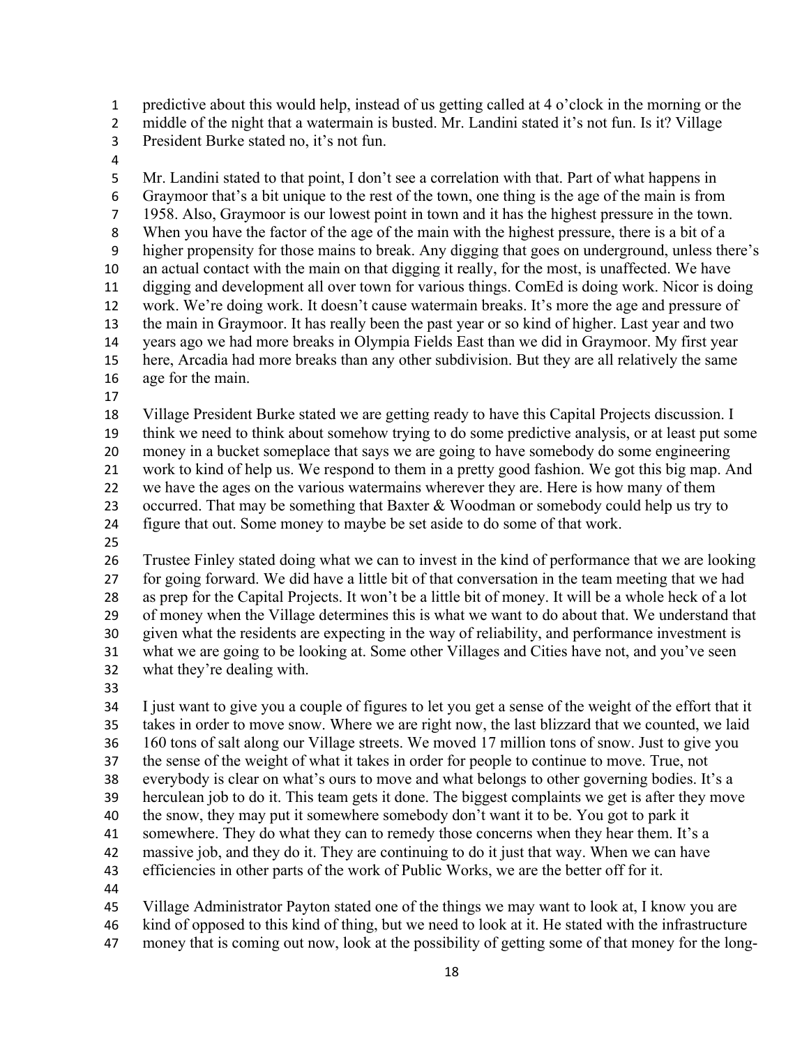predictive about this would help, instead of us getting called at 4 o'clock in the morning or the

- 2 middle of the night that a watermain is busted. Mr. Landini stated it's not fun. Is it? Village
- President Burke stated no, it's not fun.
- 

 Mr. Landini stated to that point, I don't see a correlation with that. Part of what happens in Graymoor that's a bit unique to the rest of the town, one thing is the age of the main is from 1958. Also, Graymoor is our lowest point in town and it has the highest pressure in the town. When you have the factor of the age of the main with the highest pressure, there is a bit of a higher propensity for those mains to break. Any digging that goes on underground, unless there's an actual contact with the main on that digging it really, for the most, is unaffected. We have digging and development all over town for various things. ComEd is doing work. Nicor is doing work. We're doing work. It doesn't cause watermain breaks. It's more the age and pressure of the main in Graymoor. It has really been the past year or so kind of higher. Last year and two years ago we had more breaks in Olympia Fields East than we did in Graymoor. My first year here, Arcadia had more breaks than any other subdivision. But they are all relatively the same age for the main.

 Village President Burke stated we are getting ready to have this Capital Projects discussion. I think we need to think about somehow trying to do some predictive analysis, or at least put some money in a bucket someplace that says we are going to have somebody do some engineering work to kind of help us. We respond to them in a pretty good fashion. We got this big map. And we have the ages on the various watermains wherever they are. Here is how many of them occurred. That may be something that Baxter & Woodman or somebody could help us try to figure that out. Some money to maybe be set aside to do some of that work.

 Trustee Finley stated doing what we can to invest in the kind of performance that we are looking for going forward. We did have a little bit of that conversation in the team meeting that we had as prep for the Capital Projects. It won't be a little bit of money. It will be a whole heck of a lot of money when the Village determines this is what we want to do about that. We understand that given what the residents are expecting in the way of reliability, and performance investment is what we are going to be looking at. Some other Villages and Cities have not, and you've seen what they're dealing with.

 I just want to give you a couple of figures to let you get a sense of the weight of the effort that it takes in order to move snow. Where we are right now, the last blizzard that we counted, we laid 160 tons of salt along our Village streets. We moved 17 million tons of snow. Just to give you the sense of the weight of what it takes in order for people to continue to move. True, not everybody is clear on what's ours to move and what belongs to other governing bodies. It's a herculean job to do it. This team gets it done. The biggest complaints we get is after they move the snow, they may put it somewhere somebody don't want it to be. You got to park it 41 somewhere. They do what they can to remedy those concerns when they hear them. It's a massive job, and they do it. They are continuing to do it just that way. When we can have efficiencies in other parts of the work of Public Works, we are the better off for it. Village Administrator Payton stated one of the things we may want to look at, I know you are

kind of opposed to this kind of thing, but we need to look at it. He stated with the infrastructure

money that is coming out now, look at the possibility of getting some of that money for the long-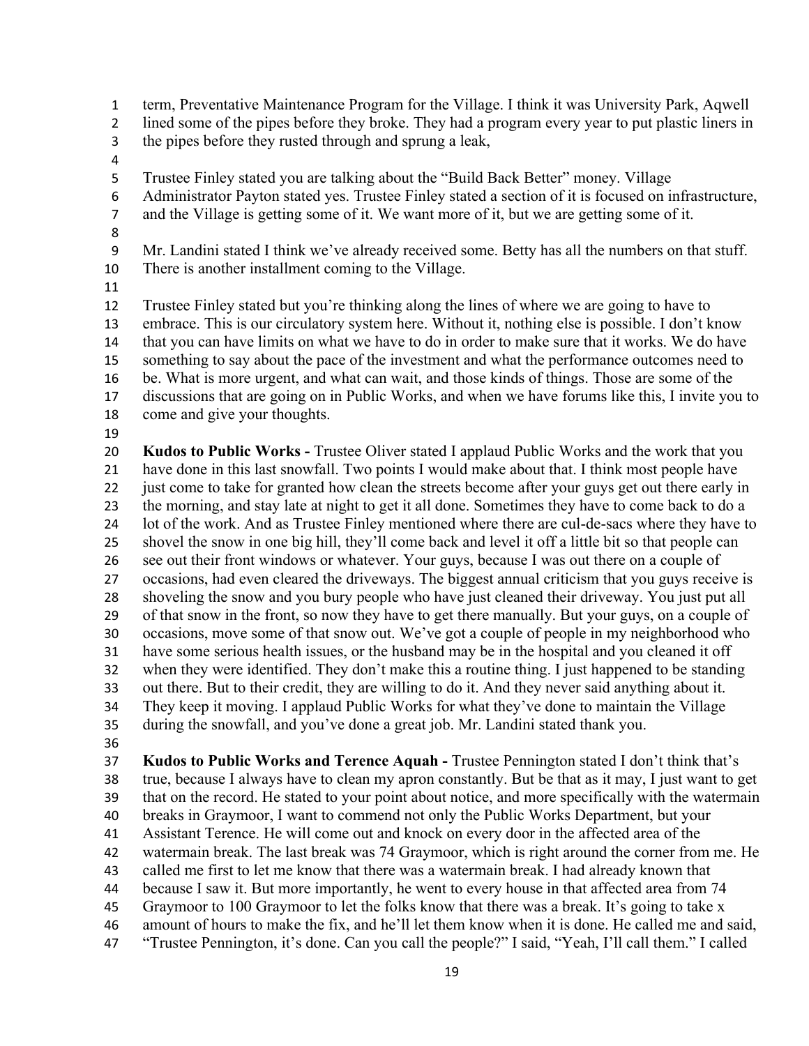term, Preventative Maintenance Program for the Village. I think it was University Park, Aqwell lined some of the pipes before they broke. They had a program every year to put plastic liners in the pipes before they rusted through and sprung a leak, Trustee Finley stated you are talking about the "Build Back Better" money. Village Administrator Payton stated yes. Trustee Finley stated a section of it is focused on infrastructure, and the Village is getting some of it. We want more of it, but we are getting some of it. Mr. Landini stated I think we've already received some. Betty has all the numbers on that stuff. There is another installment coming to the Village. Trustee Finley stated but you're thinking along the lines of where we are going to have to embrace. This is our circulatory system here. Without it, nothing else is possible. I don't know that you can have limits on what we have to do in order to make sure that it works. We do have something to say about the pace of the investment and what the performance outcomes need to be. What is more urgent, and what can wait, and those kinds of things. Those are some of the discussions that are going on in Public Works, and when we have forums like this, I invite you to come and give your thoughts. **Kudos to Public Works -** Trustee Oliver stated I applaud Public Works and the work that you have done in this last snowfall. Two points I would make about that. I think most people have 22 iust come to take for granted how clean the streets become after your guys get out there early in the morning, and stay late at night to get it all done. Sometimes they have to come back to do a lot of the work. And as Trustee Finley mentioned where there are cul-de-sacs where they have to shovel the snow in one big hill, they'll come back and level it off a little bit so that people can see out their front windows or whatever. Your guys, because I was out there on a couple of occasions, had even cleared the driveways. The biggest annual criticism that you guys receive is shoveling the snow and you bury people who have just cleaned their driveway. You just put all of that snow in the front, so now they have to get there manually. But your guys, on a couple of occasions, move some of that snow out. We've got a couple of people in my neighborhood who have some serious health issues, or the husband may be in the hospital and you cleaned it off when they were identified. They don't make this a routine thing. I just happened to be standing out there. But to their credit, they are willing to do it. And they never said anything about it. They keep it moving. I applaud Public Works for what they've done to maintain the Village during the snowfall, and you've done a great job. Mr. Landini stated thank you.

 **Kudos to Public Works and Terence Aquah -** Trustee Pennington stated I don't think that's true, because I always have to clean my apron constantly. But be that as it may, I just want to get that on the record. He stated to your point about notice, and more specifically with the watermain breaks in Graymoor, I want to commend not only the Public Works Department, but your Assistant Terence. He will come out and knock on every door in the affected area of the watermain break. The last break was 74 Graymoor, which is right around the corner from me. He called me first to let me know that there was a watermain break. I had already known that because I saw it. But more importantly, he went to every house in that affected area from 74 Graymoor to 100 Graymoor to let the folks know that there was a break. It's going to take x amount of hours to make the fix, and he'll let them know when it is done. He called me and said, "Trustee Pennington, it's done. Can you call the people?" I said, "Yeah, I'll call them." I called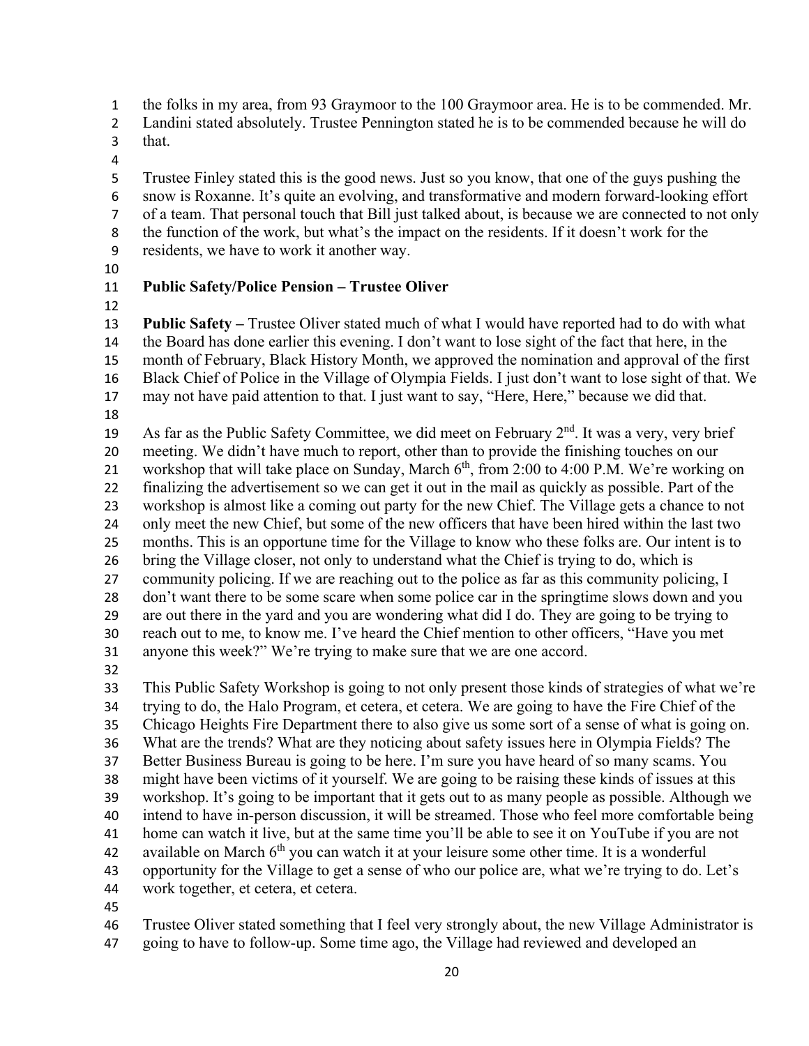the folks in my area, from 93 Graymoor to the 100 Graymoor area. He is to be commended. Mr.

Landini stated absolutely. Trustee Pennington stated he is to be commended because he will do

- that.
- 

 Trustee Finley stated this is the good news. Just so you know, that one of the guys pushing the snow is Roxanne. It's quite an evolving, and transformative and modern forward-looking effort of a team. That personal touch that Bill just talked about, is because we are connected to not only the function of the work, but what's the impact on the residents. If it doesn't work for the residents, we have to work it another way.

## **Public Safety/Police Pension – Trustee Oliver**

 **Public Safety –** Trustee Oliver stated much of what I would have reported had to do with what the Board has done earlier this evening. I don't want to lose sight of the fact that here, in the month of February, Black History Month, we approved the nomination and approval of the first Black Chief of Police in the Village of Olympia Fields. I just don't want to lose sight of that. We may not have paid attention to that. I just want to say, "Here, Here," because we did that. 

19 As far as the Public Safety Committee, we did meet on February  $2<sup>nd</sup>$ . It was a very, very brief meeting. We didn't have much to report, other than to provide the finishing touches on our 21 workshop that will take place on Sunday, March  $6<sup>th</sup>$ , from 2:00 to 4:00 P.M. We're working on finalizing the advertisement so we can get it out in the mail as quickly as possible. Part of the workshop is almost like a coming out party for the new Chief. The Village gets a chance to not only meet the new Chief, but some of the new officers that have been hired within the last two months. This is an opportune time for the Village to know who these folks are. Our intent is to bring the Village closer, not only to understand what the Chief is trying to do, which is community policing. If we are reaching out to the police as far as this community policing, I don't want there to be some scare when some police car in the springtime slows down and you are out there in the yard and you are wondering what did I do. They are going to be trying to reach out to me, to know me. I've heard the Chief mention to other officers, "Have you met anyone this week?" We're trying to make sure that we are one accord.

 This Public Safety Workshop is going to not only present those kinds of strategies of what we're trying to do, the Halo Program, et cetera, et cetera. We are going to have the Fire Chief of the Chicago Heights Fire Department there to also give us some sort of a sense of what is going on. What are the trends? What are they noticing about safety issues here in Olympia Fields? The Better Business Bureau is going to be here. I'm sure you have heard of so many scams. You might have been victims of it yourself. We are going to be raising these kinds of issues at this workshop. It's going to be important that it gets out to as many people as possible. Although we intend to have in-person discussion, it will be streamed. Those who feel more comfortable being home can watch it live, but at the same time you'll be able to see it on YouTube if you are not 42 available on March  $6<sup>th</sup>$  you can watch it at your leisure some other time. It is a wonderful opportunity for the Village to get a sense of who our police are, what we're trying to do. Let's work together, et cetera, et cetera.

Trustee Oliver stated something that I feel very strongly about, the new Village Administrator is

going to have to follow-up. Some time ago, the Village had reviewed and developed an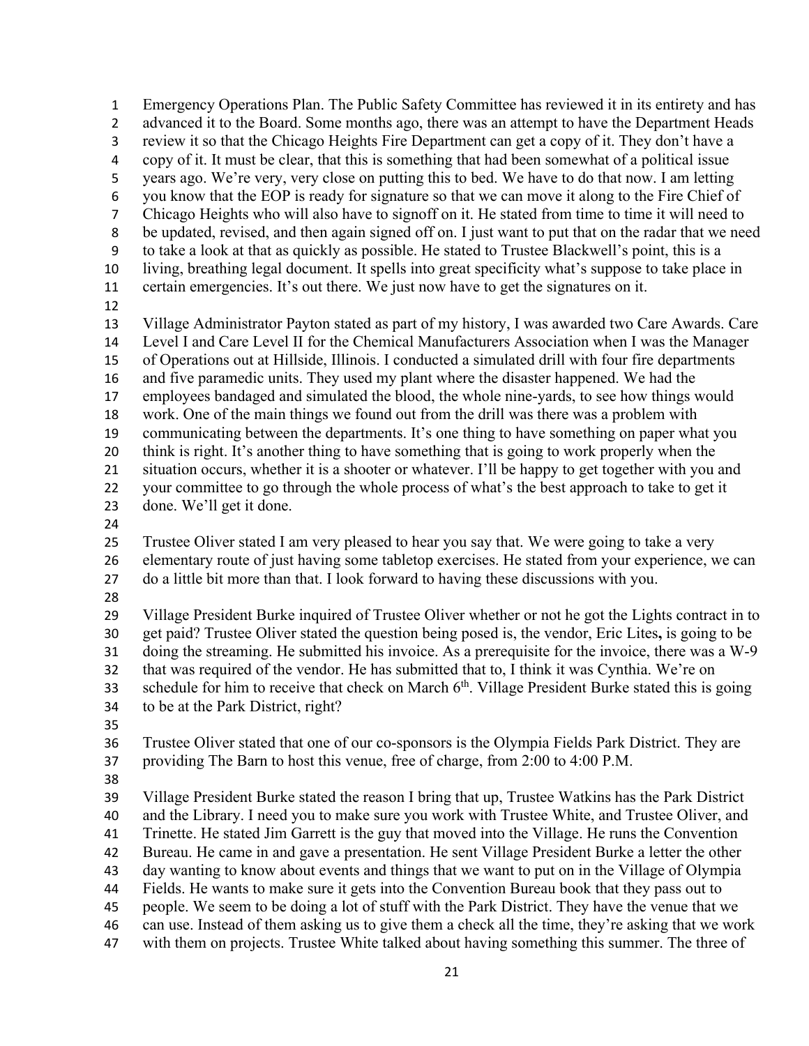Emergency Operations Plan. The Public Safety Committee has reviewed it in its entirety and has 2 advanced it to the Board. Some months ago, there was an attempt to have the Department Heads review it so that the Chicago Heights Fire Department can get a copy of it. They don't have a copy of it. It must be clear, that this is something that had been somewhat of a political issue years ago. We're very, very close on putting this to bed. We have to do that now. I am letting you know that the EOP is ready for signature so that we can move it along to the Fire Chief of Chicago Heights who will also have to signoff on it. He stated from time to time it will need to be updated, revised, and then again signed off on. I just want to put that on the radar that we need to take a look at that as quickly as possible. He stated to Trustee Blackwell's point, this is a living, breathing legal document. It spells into great specificity what's suppose to take place in certain emergencies. It's out there. We just now have to get the signatures on it. Village Administrator Payton stated as part of my history, I was awarded two Care Awards. Care Level I and Care Level II for the Chemical Manufacturers Association when I was the Manager of Operations out at Hillside, Illinois. I conducted a simulated drill with four fire departments and five paramedic units. They used my plant where the disaster happened. We had the employees bandaged and simulated the blood, the whole nine-yards, to see how things would work. One of the main things we found out from the drill was there was a problem with communicating between the departments. It's one thing to have something on paper what you think is right. It's another thing to have something that is going to work properly when the situation occurs, whether it is a shooter or whatever. I'll be happy to get together with you and your committee to go through the whole process of what's the best approach to take to get it done. We'll get it done. Trustee Oliver stated I am very pleased to hear you say that. We were going to take a very elementary route of just having some tabletop exercises. He stated from your experience, we can do a little bit more than that. I look forward to having these discussions with you. Village President Burke inquired of Trustee Oliver whether or not he got the Lights contract in to get paid? Trustee Oliver stated the question being posed is, the vendor, Eric Lites**,** is going to be doing the streaming. He submitted his invoice. As a prerequisite for the invoice, there was a W-9 that was required of the vendor. He has submitted that to, I think it was Cynthia. We're on schedule for him to receive that check on March 6<sup>th</sup>. Village President Burke stated this is going to be at the Park District, right? Trustee Oliver stated that one of our co-sponsors is the Olympia Fields Park District. They are providing The Barn to host this venue, free of charge, from 2:00 to 4:00 P.M. Village President Burke stated the reason I bring that up, Trustee Watkins has the Park District and the Library. I need you to make sure you work with Trustee White, and Trustee Oliver, and Trinette. He stated Jim Garrett is the guy that moved into the Village. He runs the Convention Bureau. He came in and gave a presentation. He sent Village President Burke a letter the other day wanting to know about events and things that we want to put on in the Village of Olympia Fields. He wants to make sure it gets into the Convention Bureau book that they pass out to people. We seem to be doing a lot of stuff with the Park District. They have the venue that we

- can use. Instead of them asking us to give them a check all the time, they're asking that we work
- with them on projects. Trustee White talked about having something this summer. The three of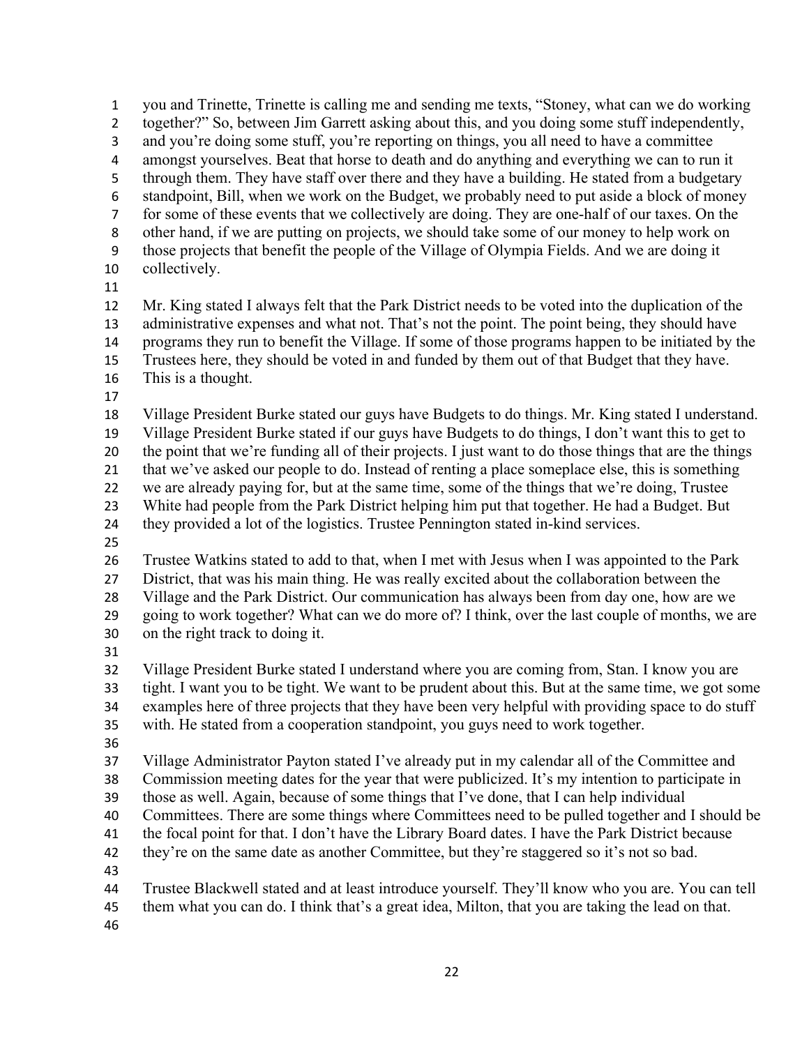you and Trinette, Trinette is calling me and sending me texts, "Stoney, what can we do working together?" So, between Jim Garrett asking about this, and you doing some stuff independently, and you're doing some stuff, you're reporting on things, you all need to have a committee amongst yourselves. Beat that horse to death and do anything and everything we can to run it through them. They have staff over there and they have a building. He stated from a budgetary standpoint, Bill, when we work on the Budget, we probably need to put aside a block of money for some of these events that we collectively are doing. They are one-half of our taxes. On the other hand, if we are putting on projects, we should take some of our money to help work on those projects that benefit the people of the Village of Olympia Fields. And we are doing it collectively. Mr. King stated I always felt that the Park District needs to be voted into the duplication of the

 administrative expenses and what not. That's not the point. The point being, they should have programs they run to benefit the Village. If some of those programs happen to be initiated by the Trustees here, they should be voted in and funded by them out of that Budget that they have.

- This is a thought.
- 

 Village President Burke stated our guys have Budgets to do things. Mr. King stated I understand. Village President Burke stated if our guys have Budgets to do things, I don't want this to get to the point that we're funding all of their projects. I just want to do those things that are the things that we've asked our people to do. Instead of renting a place someplace else, this is something we are already paying for, but at the same time, some of the things that we're doing, Trustee White had people from the Park District helping him put that together. He had a Budget. But they provided a lot of the logistics. Trustee Pennington stated in-kind services.

Trustee Watkins stated to add to that, when I met with Jesus when I was appointed to the Park

District, that was his main thing. He was really excited about the collaboration between the

Village and the Park District. Our communication has always been from day one, how are we

 going to work together? What can we do more of? I think, over the last couple of months, we are on the right track to doing it.

 Village President Burke stated I understand where you are coming from, Stan. I know you are tight. I want you to be tight. We want to be prudent about this. But at the same time, we got some examples here of three projects that they have been very helpful with providing space to do stuff with. He stated from a cooperation standpoint, you guys need to work together.

 Village Administrator Payton stated I've already put in my calendar all of the Committee and Commission meeting dates for the year that were publicized. It's my intention to participate in

those as well. Again, because of some things that I've done, that I can help individual

Committees. There are some things where Committees need to be pulled together and I should be

the focal point for that. I don't have the Library Board dates. I have the Park District because

they're on the same date as another Committee, but they're staggered so it's not so bad.

Trustee Blackwell stated and at least introduce yourself. They'll know who you are. You can tell

them what you can do. I think that's a great idea, Milton, that you are taking the lead on that.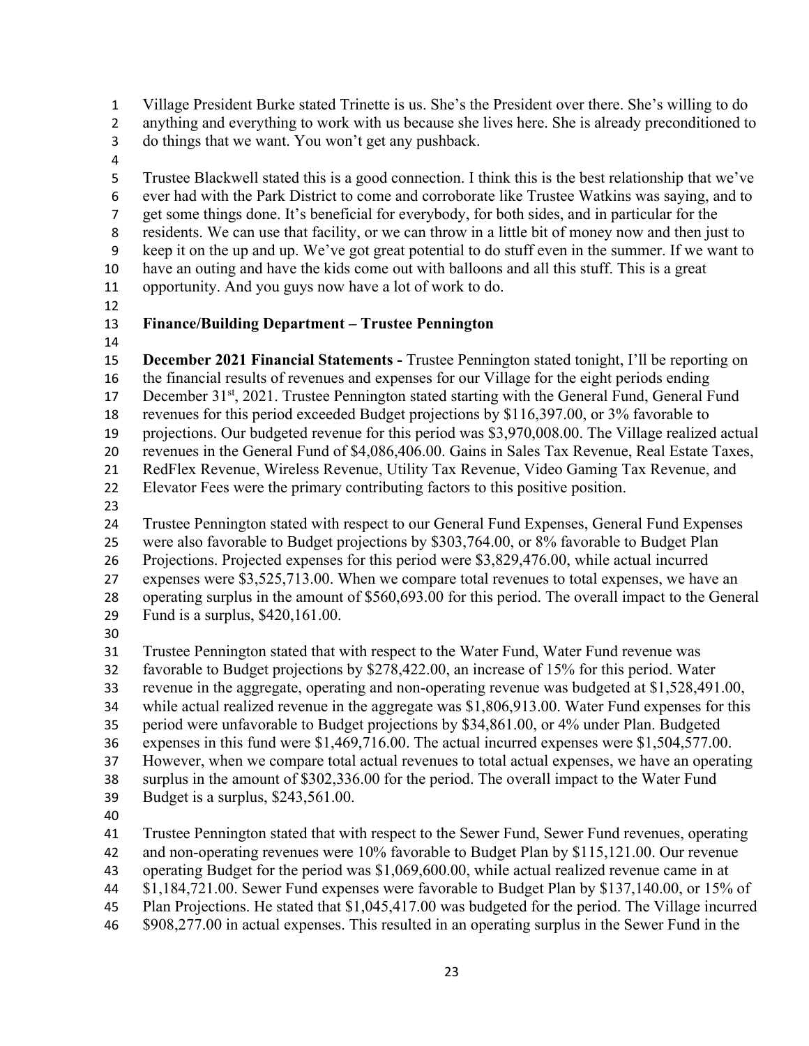Village President Burke stated Trinette is us. She's the President over there. She's willing to do anything and everything to work with us because she lives here. She is already preconditioned to

do things that we want. You won't get any pushback.

 Trustee Blackwell stated this is a good connection. I think this is the best relationship that we've ever had with the Park District to come and corroborate like Trustee Watkins was saying, and to get some things done. It's beneficial for everybody, for both sides, and in particular for the residents. We can use that facility, or we can throw in a little bit of money now and then just to keep it on the up and up. We've got great potential to do stuff even in the summer. If we want to have an outing and have the kids come out with balloons and all this stuff. This is a great opportunity. And you guys now have a lot of work to do.

### **Finance/Building Department – Trustee Pennington**

 **December 2021 Financial Statements -** Trustee Pennington stated tonight, I'll be reporting on the financial results of revenues and expenses for our Village for the eight periods ending 17 December 31<sup>st</sup>, 2021. Trustee Pennington stated starting with the General Fund, General Fund revenues for this period exceeded Budget projections by \$116,397.00, or 3% favorable to projections. Our budgeted revenue for this period was \$3,970,008.00. The Village realized actual revenues in the General Fund of \$4,086,406.00. Gains in Sales Tax Revenue, Real Estate Taxes, RedFlex Revenue, Wireless Revenue, Utility Tax Revenue, Video Gaming Tax Revenue, and Elevator Fees were the primary contributing factors to this positive position. 

Trustee Pennington stated with respect to our General Fund Expenses, General Fund Expenses

were also favorable to Budget projections by \$303,764.00, or 8% favorable to Budget Plan

Projections. Projected expenses for this period were \$3,829,476.00, while actual incurred

- expenses were \$3,525,713.00. When we compare total revenues to total expenses, we have an operating surplus in the amount of \$560,693.00 for this period. The overall impact to the General
- Fund is a surplus, \$420,161.00.
- 

Trustee Pennington stated that with respect to the Water Fund, Water Fund revenue was

favorable to Budget projections by \$278,422.00, an increase of 15% for this period. Water

- revenue in the aggregate, operating and non-operating revenue was budgeted at \$1,528,491.00,
- while actual realized revenue in the aggregate was \$1,806,913.00. Water Fund expenses for this
- period were unfavorable to Budget projections by \$34,861.00, or 4% under Plan. Budgeted

expenses in this fund were \$1,469,716.00. The actual incurred expenses were \$1,504,577.00.

However, when we compare total actual revenues to total actual expenses, we have an operating

surplus in the amount of \$302,336.00 for the period. The overall impact to the Water Fund

- Budget is a surplus, \$243,561.00.
- 

Trustee Pennington stated that with respect to the Sewer Fund, Sewer Fund revenues, operating

- 42 and non-operating revenues were 10% favorable to Budget Plan by \$115,121.00. Our revenue
- operating Budget for the period was \$1,069,600.00, while actual realized revenue came in at
- \$1,184,721.00. Sewer Fund expenses were favorable to Budget Plan by \$137,140.00, or 15% of
- Plan Projections. He stated that \$1,045,417.00 was budgeted for the period. The Village incurred
- \$908,277.00 in actual expenses. This resulted in an operating surplus in the Sewer Fund in the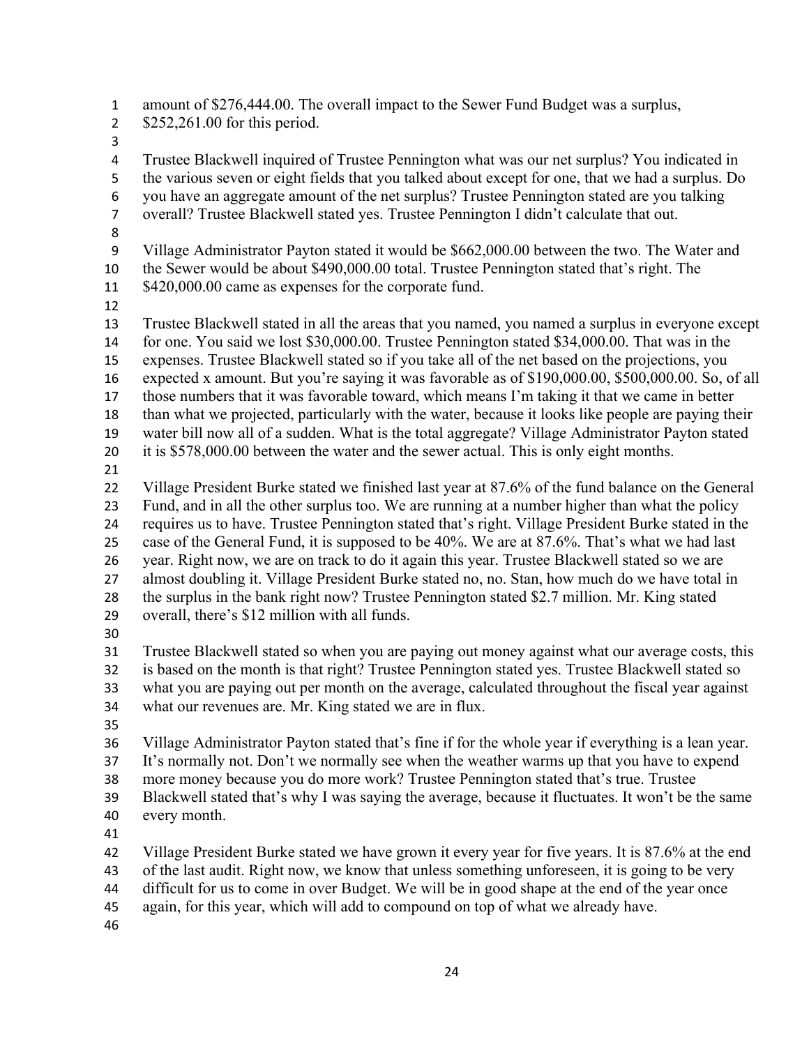amount of \$276,444.00. The overall impact to the Sewer Fund Budget was a surplus, 2 \$252,261.00 for this period. Trustee Blackwell inquired of Trustee Pennington what was our net surplus? You indicated in the various seven or eight fields that you talked about except for one, that we had a surplus. Do you have an aggregate amount of the net surplus? Trustee Pennington stated are you talking overall? Trustee Blackwell stated yes. Trustee Pennington I didn't calculate that out. Village Administrator Payton stated it would be \$662,000.00 between the two. The Water and the Sewer would be about \$490,000.00 total. Trustee Pennington stated that's right. The 11 \$420,000.00 came as expenses for the corporate fund. Trustee Blackwell stated in all the areas that you named, you named a surplus in everyone except for one. You said we lost \$30,000.00. Trustee Pennington stated \$34,000.00. That was in the expenses. Trustee Blackwell stated so if you take all of the net based on the projections, you expected x amount. But you're saying it was favorable as of \$190,000.00, \$500,000.00. So, of all those numbers that it was favorable toward, which means I'm taking it that we came in better than what we projected, particularly with the water, because it looks like people are paying their water bill now all of a sudden. What is the total aggregate? Village Administrator Payton stated 20 it is \$578,000.00 between the water and the sewer actual. This is only eight months. Village President Burke stated we finished last year at 87.6% of the fund balance on the General Fund, and in all the other surplus too. We are running at a number higher than what the policy requires us to have. Trustee Pennington stated that's right. Village President Burke stated in the case of the General Fund, it is supposed to be 40%. We are at 87.6%. That's what we had last year. Right now, we are on track to do it again this year. Trustee Blackwell stated so we are almost doubling it. Village President Burke stated no, no. Stan, how much do we have total in the surplus in the bank right now? Trustee Pennington stated \$2.7 million. Mr. King stated overall, there's \$12 million with all funds. Trustee Blackwell stated so when you are paying out money against what our average costs, this is based on the month is that right? Trustee Pennington stated yes. Trustee Blackwell stated so what you are paying out per month on the average, calculated throughout the fiscal year against what our revenues are. Mr. King stated we are in flux. Village Administrator Payton stated that's fine if for the whole year if everything is a lean year. It's normally not. Don't we normally see when the weather warms up that you have to expend more money because you do more work? Trustee Pennington stated that's true. Trustee Blackwell stated that's why I was saying the average, because it fluctuates. It won't be the same every month. Village President Burke stated we have grown it every year for five years. It is 87.6% at the end of the last audit. Right now, we know that unless something unforeseen, it is going to be very difficult for us to come in over Budget. We will be in good shape at the end of the year once

again, for this year, which will add to compound on top of what we already have.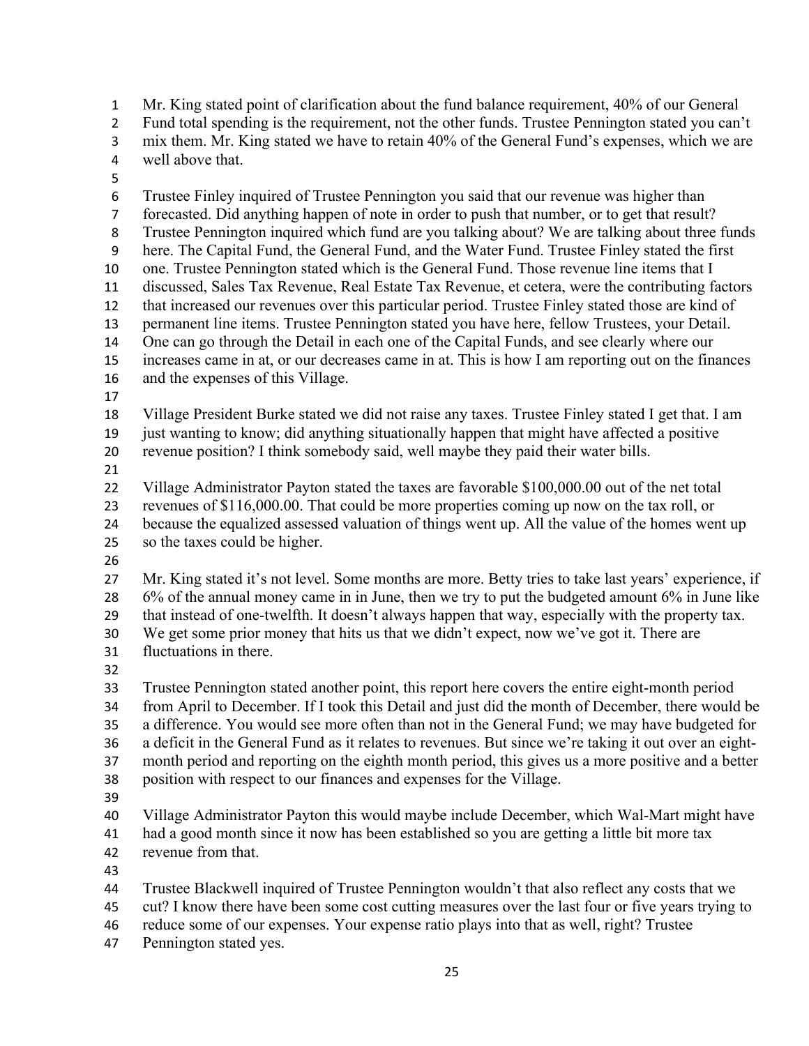Mr. King stated point of clarification about the fund balance requirement, 40% of our General Fund total spending is the requirement, not the other funds. Trustee Pennington stated you can't

mix them. Mr. King stated we have to retain 40% of the General Fund's expenses, which we are

- well above that.
- 

Trustee Finley inquired of Trustee Pennington you said that our revenue was higher than

 forecasted. Did anything happen of note in order to push that number, or to get that result? Trustee Pennington inquired which fund are you talking about? We are talking about three funds

here. The Capital Fund, the General Fund, and the Water Fund. Trustee Finley stated the first

one. Trustee Pennington stated which is the General Fund. Those revenue line items that I

 discussed, Sales Tax Revenue, Real Estate Tax Revenue, et cetera, were the contributing factors that increased our revenues over this particular period. Trustee Finley stated those are kind of

permanent line items. Trustee Pennington stated you have here, fellow Trustees, your Detail.

One can go through the Detail in each one of the Capital Funds, and see clearly where our

increases came in at, or our decreases came in at. This is how I am reporting out on the finances

- and the expenses of this Village.
- 

 Village President Burke stated we did not raise any taxes. Trustee Finley stated I get that. I am just wanting to know; did anything situationally happen that might have affected a positive

revenue position? I think somebody said, well maybe they paid their water bills.

Village Administrator Payton stated the taxes are favorable \$100,000.00 out of the net total

revenues of \$116,000.00. That could be more properties coming up now on the tax roll, or

because the equalized assessed valuation of things went up. All the value of the homes went up

so the taxes could be higher.

 Mr. King stated it's not level. Some months are more. Betty tries to take last years' experience, if 6% of the annual money came in in June, then we try to put the budgeted amount 6% in June like that instead of one-twelfth. It doesn't always happen that way, especially with the property tax. We get some prior money that hits us that we didn't expect, now we've got it. There are

fluctuations in there.

 Trustee Pennington stated another point, this report here covers the entire eight-month period from April to December. If I took this Detail and just did the month of December, there would be a difference. You would see more often than not in the General Fund; we may have budgeted for a deficit in the General Fund as it relates to revenues. But since we're taking it out over an eight-month period and reporting on the eighth month period, this gives us a more positive and a better

position with respect to our finances and expenses for the Village.

 Village Administrator Payton this would maybe include December, which Wal-Mart might have had a good month since it now has been established so you are getting a little bit more tax

revenue from that.

Trustee Blackwell inquired of Trustee Pennington wouldn't that also reflect any costs that we

cut? I know there have been some cost cutting measures over the last four or five years trying to

reduce some of our expenses. Your expense ratio plays into that as well, right? Trustee

Pennington stated yes.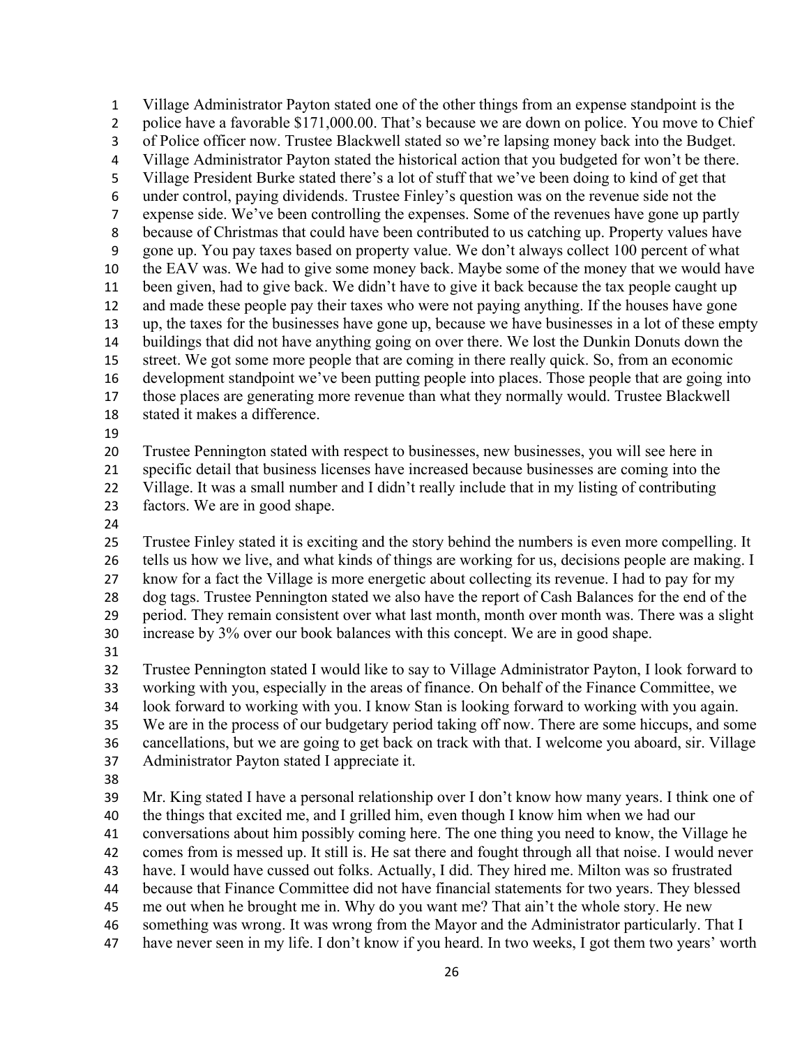Village Administrator Payton stated one of the other things from an expense standpoint is the 2 police have a favorable \$171,000.00. That's because we are down on police. You move to Chief of Police officer now. Trustee Blackwell stated so we're lapsing money back into the Budget. Village Administrator Payton stated the historical action that you budgeted for won't be there. Village President Burke stated there's a lot of stuff that we've been doing to kind of get that under control, paying dividends. Trustee Finley's question was on the revenue side not the expense side. We've been controlling the expenses. Some of the revenues have gone up partly because of Christmas that could have been contributed to us catching up. Property values have gone up. You pay taxes based on property value. We don't always collect 100 percent of what the EAV was. We had to give some money back. Maybe some of the money that we would have been given, had to give back. We didn't have to give it back because the tax people caught up and made these people pay their taxes who were not paying anything. If the houses have gone up, the taxes for the businesses have gone up, because we have businesses in a lot of these empty buildings that did not have anything going on over there. We lost the Dunkin Donuts down the street. We got some more people that are coming in there really quick. So, from an economic development standpoint we've been putting people into places. Those people that are going into those places are generating more revenue than what they normally would. Trustee Blackwell stated it makes a difference. Trustee Pennington stated with respect to businesses, new businesses, you will see here in specific detail that business licenses have increased because businesses are coming into the Village. It was a small number and I didn't really include that in my listing of contributing factors. We are in good shape. Trustee Finley stated it is exciting and the story behind the numbers is even more compelling. It tells us how we live, and what kinds of things are working for us, decisions people are making. I know for a fact the Village is more energetic about collecting its revenue. I had to pay for my dog tags. Trustee Pennington stated we also have the report of Cash Balances for the end of the period. They remain consistent over what last month, month over month was. There was a slight increase by 3% over our book balances with this concept. We are in good shape. Trustee Pennington stated I would like to say to Village Administrator Payton, I look forward to working with you, especially in the areas of finance. On behalf of the Finance Committee, we look forward to working with you. I know Stan is looking forward to working with you again. We are in the process of our budgetary period taking off now. There are some hiccups, and some cancellations, but we are going to get back on track with that. I welcome you aboard, sir. Village Administrator Payton stated I appreciate it. Mr. King stated I have a personal relationship over I don't know how many years. I think one of the things that excited me, and I grilled him, even though I know him when we had our conversations about him possibly coming here. The one thing you need to know, the Village he comes from is messed up. It still is. He sat there and fought through all that noise. I would never have. I would have cussed out folks. Actually, I did. They hired me. Milton was so frustrated

because that Finance Committee did not have financial statements for two years. They blessed

me out when he brought me in. Why do you want me? That ain't the whole story. He new

something was wrong. It was wrong from the Mayor and the Administrator particularly. That I

have never seen in my life. I don't know if you heard. In two weeks, I got them two years' worth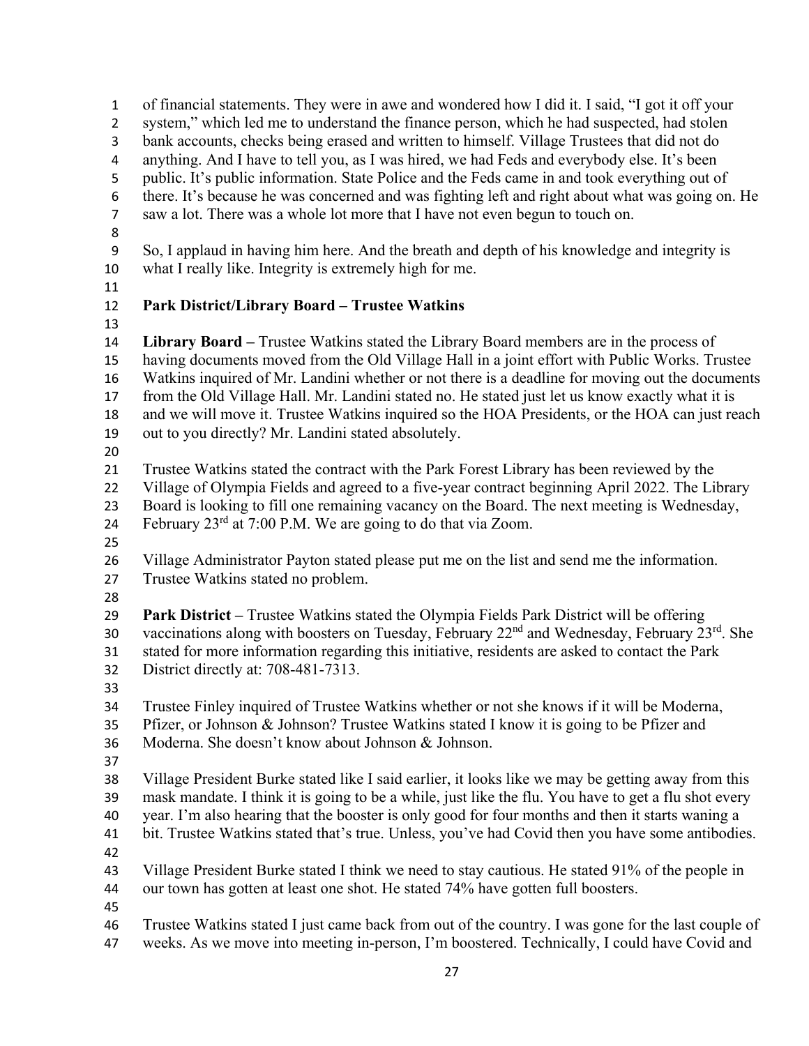of financial statements. They were in awe and wondered how I did it. I said, "I got it off your 2 system," which led me to understand the finance person, which he had suspected, had stolen bank accounts, checks being erased and written to himself. Village Trustees that did not do anything. And I have to tell you, as I was hired, we had Feds and everybody else. It's been public. It's public information. State Police and the Feds came in and took everything out of there. It's because he was concerned and was fighting left and right about what was going on. He saw a lot. There was a whole lot more that I have not even begun to touch on. So, I applaud in having him here. And the breath and depth of his knowledge and integrity is what I really like. Integrity is extremely high for me. **Park District/Library Board – Trustee Watkins Library Board –** Trustee Watkins stated the Library Board members are in the process of having documents moved from the Old Village Hall in a joint effort with Public Works. Trustee Watkins inquired of Mr. Landini whether or not there is a deadline for moving out the documents from the Old Village Hall. Mr. Landini stated no. He stated just let us know exactly what it is and we will move it. Trustee Watkins inquired so the HOA Presidents, or the HOA can just reach out to you directly? Mr. Landini stated absolutely. Trustee Watkins stated the contract with the Park Forest Library has been reviewed by the Village of Olympia Fields and agreed to a five-year contract beginning April 2022. The Library Board is looking to fill one remaining vacancy on the Board. The next meeting is Wednesday, 24 February  $23^{\text{rd}}$  at 7:00 P.M. We are going to do that via Zoom. Village Administrator Payton stated please put me on the list and send me the information. Trustee Watkins stated no problem. **Park District –** Trustee Watkins stated the Olympia Fields Park District will be offering 30 vaccinations along with boosters on Tuesday, February  $22<sup>nd</sup>$  and Wednesday, February  $23<sup>rd</sup>$ . She stated for more information regarding this initiative, residents are asked to contact the Park District directly at: 708-481-7313. Trustee Finley inquired of Trustee Watkins whether or not she knows if it will be Moderna, Pfizer, or Johnson & Johnson? Trustee Watkins stated I know it is going to be Pfizer and Moderna. She doesn't know about Johnson & Johnson. Village President Burke stated like I said earlier, it looks like we may be getting away from this mask mandate. I think it is going to be a while, just like the flu. You have to get a flu shot every year. I'm also hearing that the booster is only good for four months and then it starts waning a bit. Trustee Watkins stated that's true. Unless, you've had Covid then you have some antibodies. Village President Burke stated I think we need to stay cautious. He stated 91% of the people in our town has gotten at least one shot. He stated 74% have gotten full boosters. Trustee Watkins stated I just came back from out of the country. I was gone for the last couple of weeks. As we move into meeting in-person, I'm boostered. Technically, I could have Covid and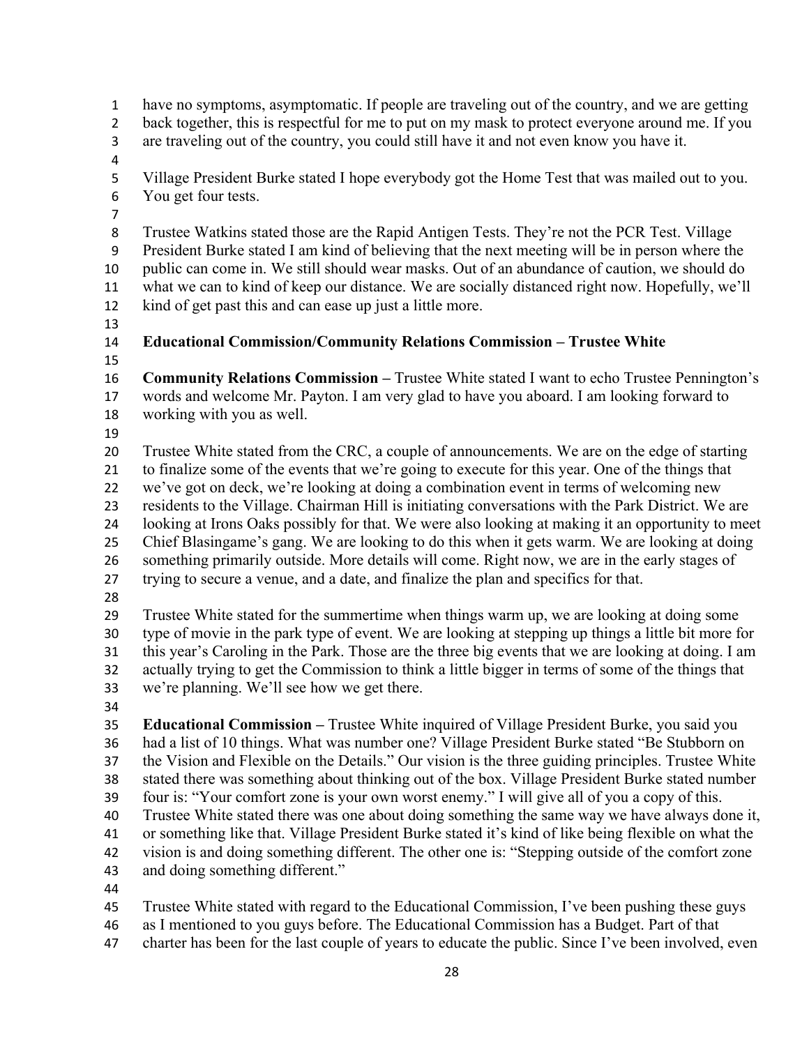have no symptoms, asymptomatic. If people are traveling out of the country, and we are getting 2 back together, this is respectful for me to put on my mask to protect everyone around me. If you are traveling out of the country, you could still have it and not even know you have it. Village President Burke stated I hope everybody got the Home Test that was mailed out to you. You get four tests. Trustee Watkins stated those are the Rapid Antigen Tests. They're not the PCR Test. Village President Burke stated I am kind of believing that the next meeting will be in person where the public can come in. We still should wear masks. Out of an abundance of caution, we should do what we can to kind of keep our distance. We are socially distanced right now. Hopefully, we'll kind of get past this and can ease up just a little more. **Educational Commission/Community Relations Commission – Trustee White Community Relations Commission –** Trustee White stated I want to echo Trustee Pennington's words and welcome Mr. Payton. I am very glad to have you aboard. I am looking forward to working with you as well. Trustee White stated from the CRC, a couple of announcements. We are on the edge of starting to finalize some of the events that we're going to execute for this year. One of the things that we've got on deck, we're looking at doing a combination event in terms of welcoming new residents to the Village. Chairman Hill is initiating conversations with the Park District. We are looking at Irons Oaks possibly for that. We were also looking at making it an opportunity to meet Chief Blasingame's gang. We are looking to do this when it gets warm. We are looking at doing something primarily outside. More details will come. Right now, we are in the early stages of trying to secure a venue, and a date, and finalize the plan and specifics for that. Trustee White stated for the summertime when things warm up, we are looking at doing some type of movie in the park type of event. We are looking at stepping up things a little bit more for this year's Caroling in the Park. Those are the three big events that we are looking at doing. I am actually trying to get the Commission to think a little bigger in terms of some of the things that we're planning. We'll see how we get there. **Educational Commission –** Trustee White inquired of Village President Burke, you said you had a list of 10 things. What was number one? Village President Burke stated "Be Stubborn on the Vision and Flexible on the Details." Our vision is the three guiding principles. Trustee White stated there was something about thinking out of the box. Village President Burke stated number four is: "Your comfort zone is your own worst enemy." I will give all of you a copy of this. Trustee White stated there was one about doing something the same way we have always done it, or something like that. Village President Burke stated it's kind of like being flexible on what the vision is and doing something different. The other one is: "Stepping outside of the comfort zone and doing something different." Trustee White stated with regard to the Educational Commission, I've been pushing these guys as I mentioned to you guys before. The Educational Commission has a Budget. Part of that charter has been for the last couple of years to educate the public. Since I've been involved, even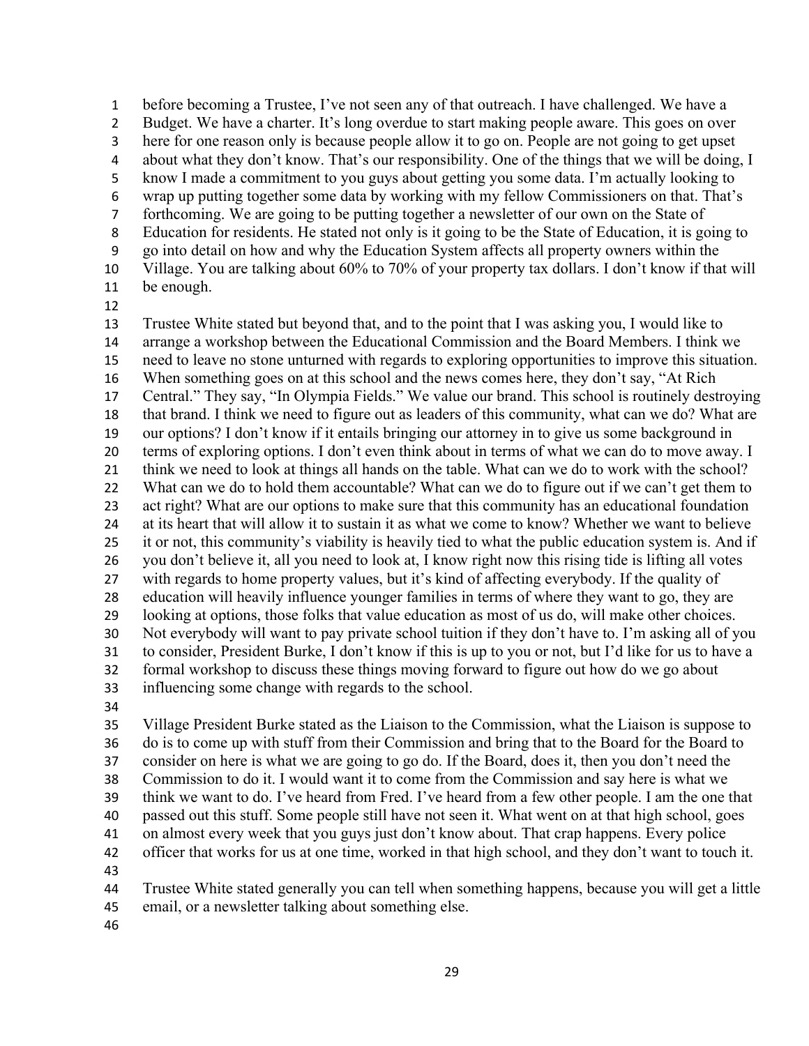before becoming a Trustee, I've not seen any of that outreach. I have challenged. We have a Budget. We have a charter. It's long overdue to start making people aware. This goes on over here for one reason only is because people allow it to go on. People are not going to get upset about what they don't know. That's our responsibility. One of the things that we will be doing, I know I made a commitment to you guys about getting you some data. I'm actually looking to wrap up putting together some data by working with my fellow Commissioners on that. That's forthcoming. We are going to be putting together a newsletter of our own on the State of Education for residents. He stated not only is it going to be the State of Education, it is going to go into detail on how and why the Education System affects all property owners within the Village. You are talking about 60% to 70% of your property tax dollars. I don't know if that will be enough.

 Trustee White stated but beyond that, and to the point that I was asking you, I would like to arrange a workshop between the Educational Commission and the Board Members. I think we need to leave no stone unturned with regards to exploring opportunities to improve this situation. When something goes on at this school and the news comes here, they don't say, "At Rich Central." They say, "In Olympia Fields." We value our brand. This school is routinely destroying that brand. I think we need to figure out as leaders of this community, what can we do? What are our options? I don't know if it entails bringing our attorney in to give us some background in terms of exploring options. I don't even think about in terms of what we can do to move away. I think we need to look at things all hands on the table. What can we do to work with the school? What can we do to hold them accountable? What can we do to figure out if we can't get them to act right? What are our options to make sure that this community has an educational foundation at its heart that will allow it to sustain it as what we come to know? Whether we want to believe it or not, this community's viability is heavily tied to what the public education system is. And if you don't believe it, all you need to look at, I know right now this rising tide is lifting all votes with regards to home property values, but it's kind of affecting everybody. If the quality of education will heavily influence younger families in terms of where they want to go, they are looking at options, those folks that value education as most of us do, will make other choices. Not everybody will want to pay private school tuition if they don't have to. I'm asking all of you to consider, President Burke, I don't know if this is up to you or not, but I'd like for us to have a formal workshop to discuss these things moving forward to figure out how do we go about influencing some change with regards to the school.

 Village President Burke stated as the Liaison to the Commission, what the Liaison is suppose to do is to come up with stuff from their Commission and bring that to the Board for the Board to consider on here is what we are going to go do. If the Board, does it, then you don't need the Commission to do it. I would want it to come from the Commission and say here is what we think we want to do. I've heard from Fred. I've heard from a few other people. I am the one that passed out this stuff. Some people still have not seen it. What went on at that high school, goes on almost every week that you guys just don't know about. That crap happens. Every police officer that works for us at one time, worked in that high school, and they don't want to touch it. 

 Trustee White stated generally you can tell when something happens, because you will get a little email, or a newsletter talking about something else.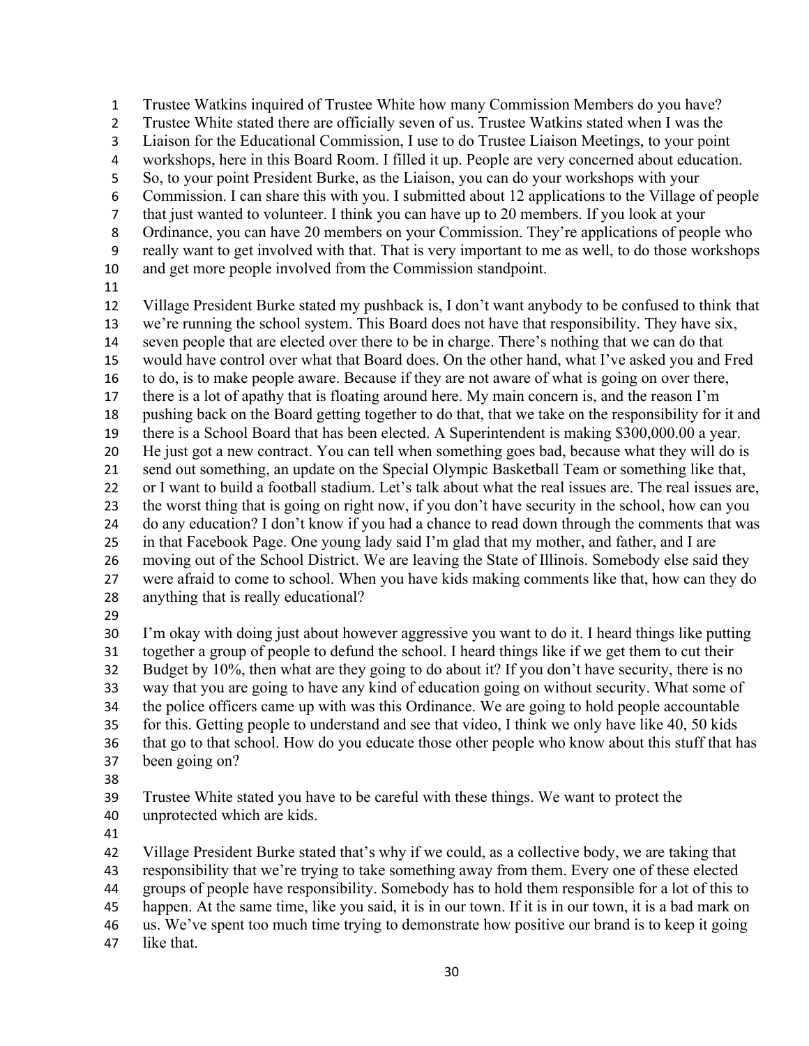Trustee Watkins inquired of Trustee White how many Commission Members do you have? Trustee White stated there are officially seven of us. Trustee Watkins stated when I was the Liaison for the Educational Commission, I use to do Trustee Liaison Meetings, to your point workshops, here in this Board Room. I filled it up. People are very concerned about education. So, to your point President Burke, as the Liaison, you can do your workshops with your Commission. I can share this with you. I submitted about 12 applications to the Village of people that just wanted to volunteer. I think you can have up to 20 members. If you look at your Ordinance, you can have 20 members on your Commission. They're applications of people who really want to get involved with that. That is very important to me as well, to do those workshops and get more people involved from the Commission standpoint. Village President Burke stated my pushback is, I don't want anybody to be confused to think that we're running the school system. This Board does not have that responsibility. They have six, seven people that are elected over there to be in charge. There's nothing that we can do that would have control over what that Board does. On the other hand, what I've asked you and Fred to do, is to make people aware. Because if they are not aware of what is going on over there, there is a lot of apathy that is floating around here. My main concern is, and the reason I'm pushing back on the Board getting together to do that, that we take on the responsibility for it and there is a School Board that has been elected. A Superintendent is making \$300,000.00 a year. He just got a new contract. You can tell when something goes bad, because what they will do is send out something, an update on the Special Olympic Basketball Team or something like that, or I want to build a football stadium. Let's talk about what the real issues are. The real issues are, the worst thing that is going on right now, if you don't have security in the school, how can you do any education? I don't know if you had a chance to read down through the comments that was in that Facebook Page. One young lady said I'm glad that my mother, and father, and I are moving out of the School District. We are leaving the State of Illinois. Somebody else said they were afraid to come to school. When you have kids making comments like that, how can they do anything that is really educational?

 I'm okay with doing just about however aggressive you want to do it. I heard things like putting together a group of people to defund the school. I heard things like if we get them to cut their Budget by 10%, then what are they going to do about it? If you don't have security, there is no way that you are going to have any kind of education going on without security. What some of the police officers came up with was this Ordinance. We are going to hold people accountable for this. Getting people to understand and see that video, I think we only have like 40, 50 kids that go to that school. How do you educate those other people who know about this stuff that has been going on?

Trustee White stated you have to be careful with these things. We want to protect the

- unprotected which are kids.
- 

Village President Burke stated that's why if we could, as a collective body, we are taking that

responsibility that we're trying to take something away from them. Every one of these elected

groups of people have responsibility. Somebody has to hold them responsible for a lot of this to

happen. At the same time, like you said, it is in our town. If it is in our town, it is a bad mark on

- us. We've spent too much time trying to demonstrate how positive our brand is to keep it going
- like that.